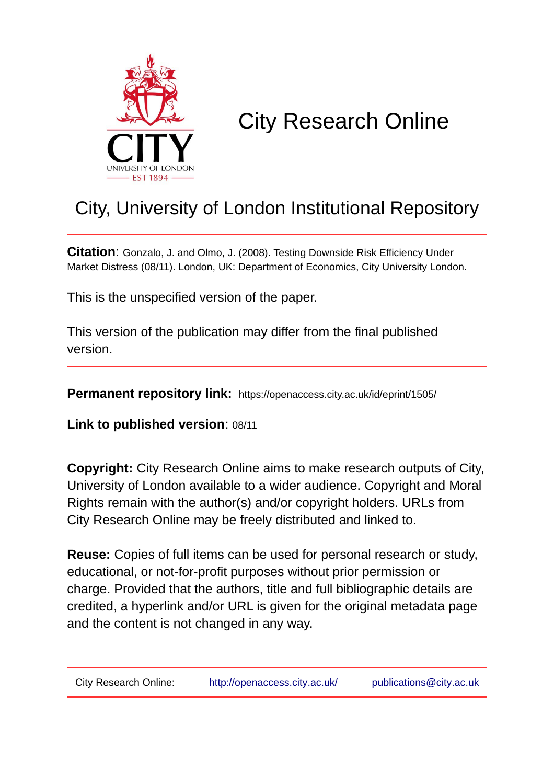

# City Research Online

## City, University of London Institutional Repository

**Citation**: Gonzalo, J. and Olmo, J. (2008). Testing Downside Risk Efficiency Under Market Distress (08/11). London, UK: Department of Economics, City University London.

This is the unspecified version of the paper.

This version of the publication may differ from the final published version.

**Permanent repository link:** https://openaccess.city.ac.uk/id/eprint/1505/

**Link to published version**: 08/11

**Copyright:** City Research Online aims to make research outputs of City, University of London available to a wider audience. Copyright and Moral Rights remain with the author(s) and/or copyright holders. URLs from City Research Online may be freely distributed and linked to.

**Reuse:** Copies of full items can be used for personal research or study, educational, or not-for-profit purposes without prior permission or charge. Provided that the authors, title and full bibliographic details are credited, a hyperlink and/or URL is given for the original metadata page and the content is not changed in any way.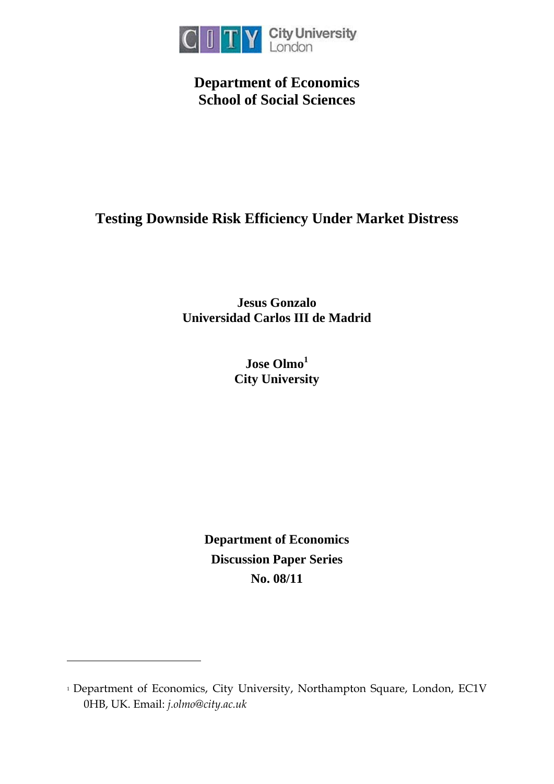

**Department of Economics School of Social Sciences** 

## **Testing Downside Risk Efficiency Under Market Distress**

**Jesus Gonzalo Universidad Carlos III de Madrid** 

> **Jose Olmo<sup>1</sup> City University**

**Department of Economics Discussion Paper Series No. 08/11**

-

<sup>&</sup>lt;sup>1</sup> Department of Economics, City University, Northampton Square, London, EC1V 0HB, UK. Email: *j.olmo@city.ac.uk*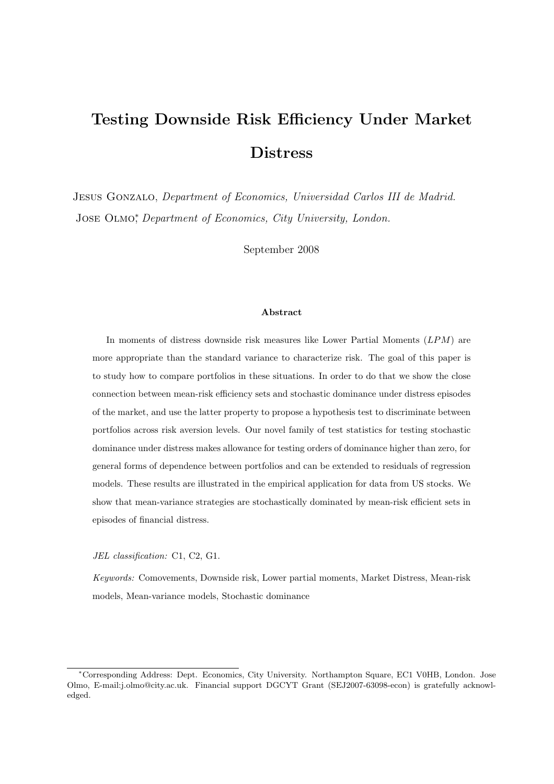## Testing Downside Risk Efficiency Under Market Distress

Jesus Gonzalo, Department of Economics, Universidad Carlos III de Madrid. JOSE OLMO<sup>\*</sup>, Department of Economics, City University, London.

September 2008

#### Abstract

In moments of distress downside risk measures like Lower Partial Moments (LPM) are more appropriate than the standard variance to characterize risk. The goal of this paper is to study how to compare portfolios in these situations. In order to do that we show the close connection between mean-risk efficiency sets and stochastic dominance under distress episodes of the market, and use the latter property to propose a hypothesis test to discriminate between portfolios across risk aversion levels. Our novel family of test statistics for testing stochastic dominance under distress makes allowance for testing orders of dominance higher than zero, for general forms of dependence between portfolios and can be extended to residuals of regression models. These results are illustrated in the empirical application for data from US stocks. We show that mean-variance strategies are stochastically dominated by mean-risk efficient sets in episodes of financial distress.

JEL classification: C1, C2, G1.

Keywords: Comovements, Downside risk, Lower partial moments, Market Distress, Mean-risk models, Mean-variance models, Stochastic dominance

<sup>∗</sup>Corresponding Address: Dept. Economics, City University. Northampton Square, EC1 V0HB, London. Jose Olmo, E-mail:j.olmo@city.ac.uk. Financial support DGCYT Grant (SEJ2007-63098-econ) is gratefully acknowledged.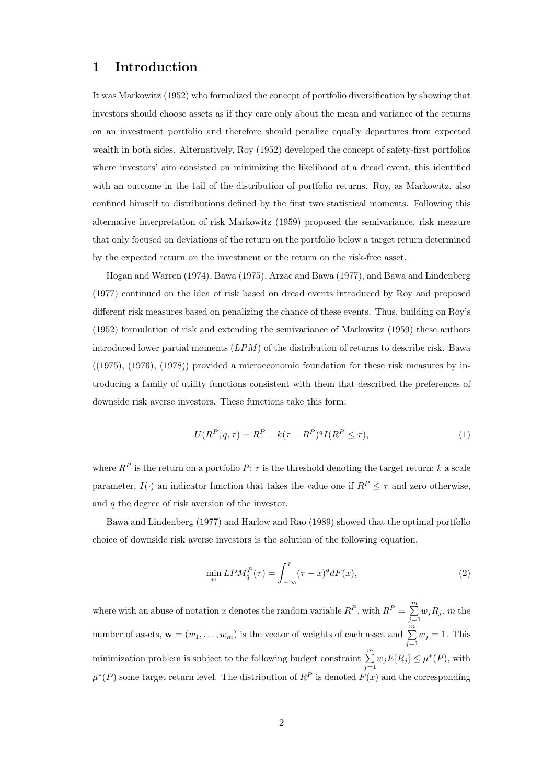## 1 Introduction

It was Markowitz (1952) who formalized the concept of portfolio diversification by showing that investors should choose assets as if they care only about the mean and variance of the returns on an investment portfolio and therefore should penalize equally departures from expected wealth in both sides. Alternatively, Roy (1952) developed the concept of safety-first portfolios where investors' aim consisted on minimizing the likelihood of a dread event, this identified with an outcome in the tail of the distribution of portfolio returns. Roy, as Markowitz, also confined himself to distributions defined by the first two statistical moments. Following this alternative interpretation of risk Markowitz (1959) proposed the semivariance, risk measure that only focused on deviations of the return on the portfolio below a target return determined by the expected return on the investment or the return on the risk-free asset.

Hogan and Warren (1974), Bawa (1975), Arzac and Bawa (1977), and Bawa and Lindenberg (1977) continued on the idea of risk based on dread events introduced by Roy and proposed different risk measures based on penalizing the chance of these events. Thus, building on Roy's (1952) formulation of risk and extending the semivariance of Markowitz (1959) these authors introduced lower partial moments  $(LPM)$  of the distribution of returns to describe risk. Bawa  $((1975), (1976), (1978))$  provided a microeconomic foundation for these risk measures by introducing a family of utility functions consistent with them that described the preferences of downside risk averse investors. These functions take this form:

$$
U(RP; q, \tau) = RP - k(\tau - RP)qI(RP \le \tau),
$$
\n(1)

where  $R^P$  is the return on a portfolio  $P$ ;  $\tau$  is the threshold denoting the target return; k a scale parameter,  $I(\cdot)$  an indicator function that takes the value one if  $R^P \leq \tau$  and zero otherwise, and q the degree of risk aversion of the investor.

Bawa and Lindenberg (1977) and Harlow and Rao (1989) showed that the optimal portfolio choice of downside risk averse investors is the solution of the following equation,

$$
\min_{w} LPM_q^P(\tau) = \int_{-\infty}^{\tau} (\tau - x)^q dF(x),\tag{2}
$$

where with an abuse of notation x denotes the random variable  $R^P$ , with  $R^P = \sum_{n=1}^{m}$  $\sum_{j=1} w_j R_j$ , m the number of assets,  $\mathbf{w} = (w_1, \dots, w_m)$  is the vector of weights of each asset and  $\sum_{j=1}^{m} w_j = 1$ . This minimization problem is subject to the following budget constraint  $\sum_{n=1}^{m}$  $\sum_{j=1} w_j E[R_j] \leq \mu^*(P)$ , with  $\mu^*(P)$  some target return level. The distribution of  $R^P$  is denoted  $F(x)$  and the corresponding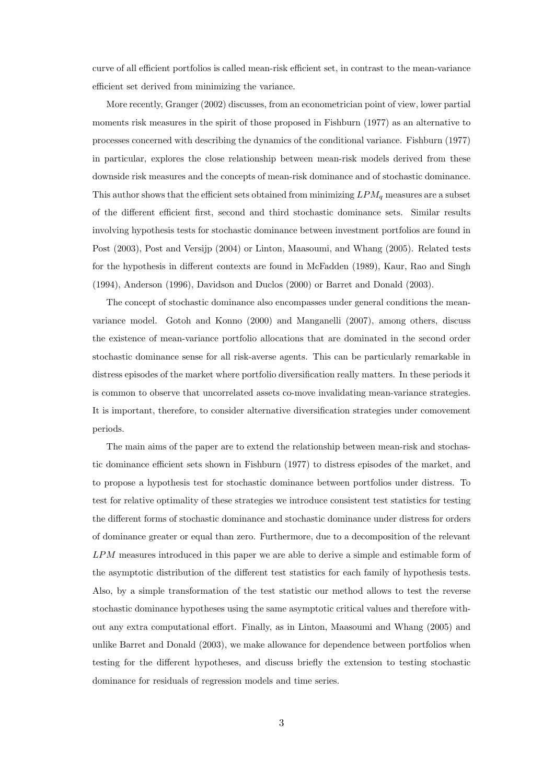curve of all efficient portfolios is called mean-risk efficient set, in contrast to the mean-variance efficient set derived from minimizing the variance.

More recently, Granger (2002) discusses, from an econometrician point of view, lower partial moments risk measures in the spirit of those proposed in Fishburn (1977) as an alternative to processes concerned with describing the dynamics of the conditional variance. Fishburn (1977) in particular, explores the close relationship between mean-risk models derived from these downside risk measures and the concepts of mean-risk dominance and of stochastic dominance. This author shows that the efficient sets obtained from minimizing  $LPM_q$  measures are a subset of the different efficient first, second and third stochastic dominance sets. Similar results involving hypothesis tests for stochastic dominance between investment portfolios are found in Post (2003), Post and Versijp (2004) or Linton, Maasoumi, and Whang (2005). Related tests for the hypothesis in different contexts are found in McFadden (1989), Kaur, Rao and Singh (1994), Anderson (1996), Davidson and Duclos (2000) or Barret and Donald (2003).

The concept of stochastic dominance also encompasses under general conditions the meanvariance model. Gotoh and Konno (2000) and Manganelli (2007), among others, discuss the existence of mean-variance portfolio allocations that are dominated in the second order stochastic dominance sense for all risk-averse agents. This can be particularly remarkable in distress episodes of the market where portfolio diversification really matters. In these periods it is common to observe that uncorrelated assets co-move invalidating mean-variance strategies. It is important, therefore, to consider alternative diversification strategies under comovement periods.

The main aims of the paper are to extend the relationship between mean-risk and stochastic dominance efficient sets shown in Fishburn (1977) to distress episodes of the market, and to propose a hypothesis test for stochastic dominance between portfolios under distress. To test for relative optimality of these strategies we introduce consistent test statistics for testing the different forms of stochastic dominance and stochastic dominance under distress for orders of dominance greater or equal than zero. Furthermore, due to a decomposition of the relevant LPM measures introduced in this paper we are able to derive a simple and estimable form of the asymptotic distribution of the different test statistics for each family of hypothesis tests. Also, by a simple transformation of the test statistic our method allows to test the reverse stochastic dominance hypotheses using the same asymptotic critical values and therefore without any extra computational effort. Finally, as in Linton, Maasoumi and Whang (2005) and unlike Barret and Donald (2003), we make allowance for dependence between portfolios when testing for the different hypotheses, and discuss briefly the extension to testing stochastic dominance for residuals of regression models and time series.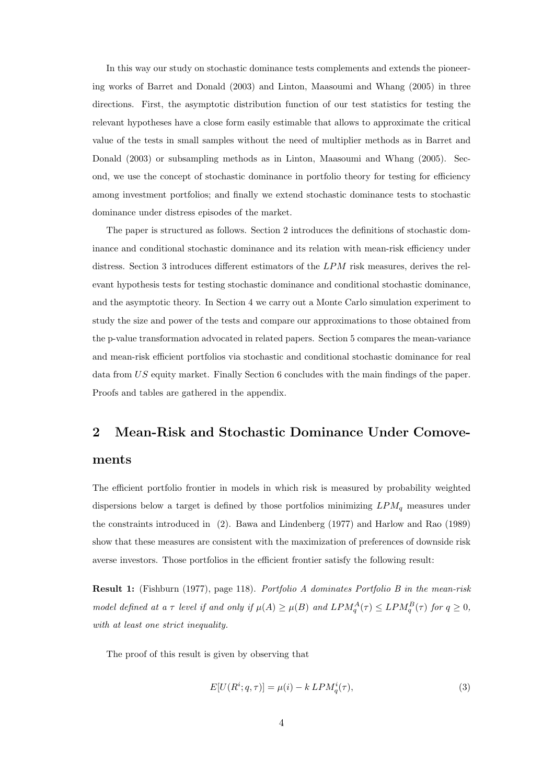In this way our study on stochastic dominance tests complements and extends the pioneering works of Barret and Donald (2003) and Linton, Maasoumi and Whang (2005) in three directions. First, the asymptotic distribution function of our test statistics for testing the relevant hypotheses have a close form easily estimable that allows to approximate the critical value of the tests in small samples without the need of multiplier methods as in Barret and Donald (2003) or subsampling methods as in Linton, Maasoumi and Whang (2005). Second, we use the concept of stochastic dominance in portfolio theory for testing for efficiency among investment portfolios; and finally we extend stochastic dominance tests to stochastic dominance under distress episodes of the market.

The paper is structured as follows. Section 2 introduces the definitions of stochastic dominance and conditional stochastic dominance and its relation with mean-risk efficiency under distress. Section 3 introduces different estimators of the LPM risk measures, derives the relevant hypothesis tests for testing stochastic dominance and conditional stochastic dominance, and the asymptotic theory. In Section 4 we carry out a Monte Carlo simulation experiment to study the size and power of the tests and compare our approximations to those obtained from the p-value transformation advocated in related papers. Section 5 compares the mean-variance and mean-risk efficient portfolios via stochastic and conditional stochastic dominance for real data from US equity market. Finally Section 6 concludes with the main findings of the paper. Proofs and tables are gathered in the appendix.

## 2 Mean-Risk and Stochastic Dominance Under Comove-

#### ments

The efficient portfolio frontier in models in which risk is measured by probability weighted dispersions below a target is defined by those portfolios minimizing  $LPM_q$  measures under the constraints introduced in (2). Bawa and Lindenberg (1977) and Harlow and Rao (1989) show that these measures are consistent with the maximization of preferences of downside risk averse investors. Those portfolios in the efficient frontier satisfy the following result:

Result 1: (Fishburn (1977), page 118). Portfolio A dominates Portfolio B in the mean-risk model defined at a  $\tau$  level if and only if  $\mu(A) \ge \mu(B)$  and  $LPM_{q}^{A}(\tau) \le LPM_{q}^{B}(\tau)$  for  $q \ge 0$ , with at least one strict inequality.

The proof of this result is given by observing that

$$
E[U(R^i; q, \tau)] = \mu(i) - k \ LPM_q^i(\tau),\tag{3}
$$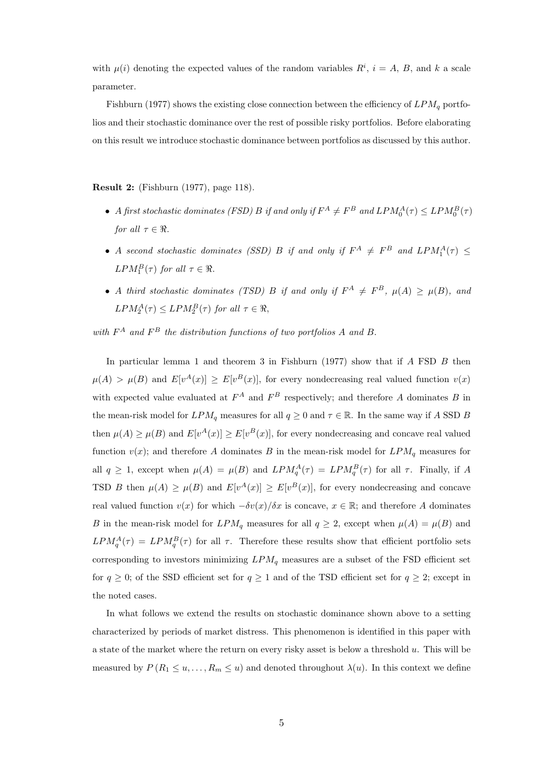with  $\mu(i)$  denoting the expected values of the random variables  $R^i$ ,  $i = A, B$ , and k a scale parameter.

Fishburn (1977) shows the existing close connection between the efficiency of  $LPM_q$  portfolios and their stochastic dominance over the rest of possible risky portfolios. Before elaborating on this result we introduce stochastic dominance between portfolios as discussed by this author.

Result 2: (Fishburn (1977), page 118).

- A first stochastic dominates (FSD) B if and only if  $F^A \neq F^B$  and  $LPM_0^A(\tau) \leq LPM_0^B(\tau)$ for all  $\tau \in \Re$ .
- A second stochastic dominates (SSD) B if and only if  $F^A \neq F^B$  and  $LPM_1^A(\tau) \leq$  $LPM_{1}^{B}(\tau)$  for all  $\tau \in \Re$ .
- A third stochastic dominates (TSD) B if and only if  $F^A \neq F^B$ ,  $\mu(A) \geq \mu(B)$ , and  $LPM_2^A(\tau) \leq LPM_2^B(\tau)$  for all  $\tau \in \Re$ ,

with  $F^A$  and  $F^B$  the distribution functions of two portfolios A and B.

In particular lemma 1 and theorem 3 in Fishburn (1977) show that if  $A$  FSD  $B$  then  $\mu(A) > \mu(B)$  and  $E[v^A(x)] \ge E[v^B(x)]$ , for every nondecreasing real valued function  $v(x)$ with expected value evaluated at  $F^A$  and  $F^B$  respectively; and therefore A dominates B in the mean-risk model for  $LPM_q$  measures for all  $q \ge 0$  and  $\tau \in \mathbb{R}$ . In the same way if A SSD B then  $\mu(A) \ge \mu(B)$  and  $E[v^A(x)] \ge E[v^B(x)]$ , for every nondecreasing and concave real valued function  $v(x)$ ; and therefore A dominates B in the mean-risk model for  $LPM_q$  measures for all  $q \geq 1$ , except when  $\mu(A) = \mu(B)$  and  $LPM_q^A(\tau) = LPM_q^B(\tau)$  for all  $\tau$ . Finally, if A TSD B then  $\mu(A) \geq \mu(B)$  and  $E[v^A(x)] \geq E[v^B(x)]$ , for every nondecreasing and concave real valued function  $v(x)$  for which  $-\delta v(x)/\delta x$  is concave,  $x \in \mathbb{R}$ ; and therefore A dominates B in the mean-risk model for  $LPM_q$  measures for all  $q \geq 2$ , except when  $\mu(A) = \mu(B)$  and  $LPM_{q}^{A}(\tau) = LPM_{q}^{B}(\tau)$  for all  $\tau$ . Therefore these results show that efficient portfolio sets corresponding to investors minimizing  $LPM_q$  measures are a subset of the FSD efficient set for  $q \geq 0$ ; of the SSD efficient set for  $q \geq 1$  and of the TSD efficient set for  $q \geq 2$ ; except in the noted cases.

In what follows we extend the results on stochastic dominance shown above to a setting characterized by periods of market distress. This phenomenon is identified in this paper with a state of the market where the return on every risky asset is below a threshold u. This will be measured by  $P(R_1 \leq u, \ldots, R_m \leq u)$  and denoted throughout  $\lambda(u)$ . In this context we define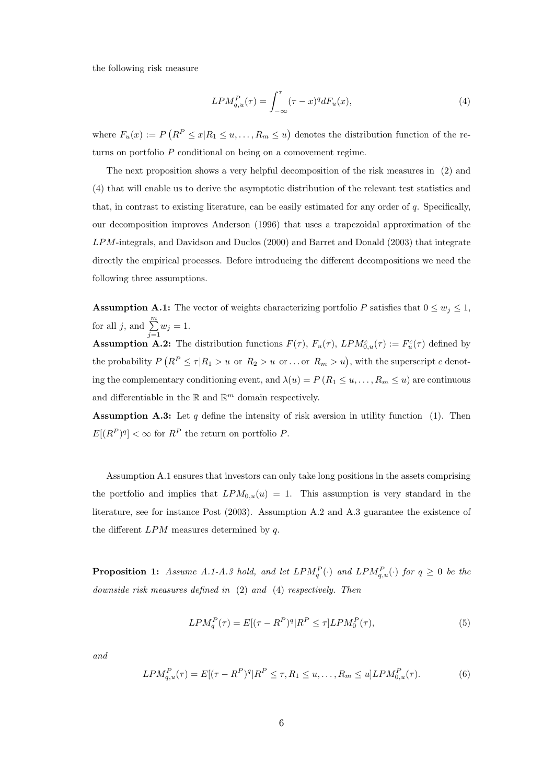the following risk measure

$$
LPM_{q,u}^{P}(\tau) = \int_{-\infty}^{\tau} (\tau - x)^{q} dF_u(x), \qquad (4)
$$

where  $F_u(x) := F$  $(R^P \leq x | R_1 \leq u, \ldots, R_m \leq u)$ denotes the distribution function of the returns on portfolio  $P$  conditional on being on a comovement regime.

The next proposition shows a very helpful decomposition of the risk measures in (2) and (4) that will enable us to derive the asymptotic distribution of the relevant test statistics and that, in contrast to existing literature, can be easily estimated for any order of  $q$ . Specifically, our decomposition improves Anderson (1996) that uses a trapezoidal approximation of the LPM-integrals, and Davidson and Duclos (2000) and Barret and Donald (2003) that integrate directly the empirical processes. Before introducing the different decompositions we need the following three assumptions.

**Assumption A.1:** The vector of weights characterizing portfolio P satisfies that  $0 \leq w_j \leq 1$ , for all j, and  $\sum_{i=1}^{m}$  $\sum_{j=1} w_j = 1.$ 

**Assumption A.2:** The distribution functions  $F(\tau)$ ,  $F_u(\tau)$ ,  $LPM_{0,u}^c(\tau) := F_u^c(\tau)$  defined by the probability  $P$  $(R^P \leq \tau | R_1 > u \text{ or } R_2 > u \text{ or } ... \text{ or } R_m > u)$ , with the superscript c denoting the complementary conditioning event, and  $\lambda(u) = P(R_1 \le u, \dots, R_m \le u)$  are continuous and differentiable in the  $\mathbb R$  and  $\mathbb R^m$  domain respectively.

**Assumption A.3:** Let  $q$  define the intensity of risk aversion in utility function (1). Then  $E[(R^P)^q] < \infty$  for  $R^P$  the return on portfolio P.

Assumption A.1 ensures that investors can only take long positions in the assets comprising the portfolio and implies that  $LPM_{0,u}(u) = 1$ . This assumption is very standard in the literature, see for instance Post (2003). Assumption A.2 and A.3 guarantee the existence of the different  $LPM$  measures determined by q.

**Proposition 1:** Assume A.1-A.3 hold, and let  $LPM_q^P(\cdot)$  and  $LPM_{q,u}^P(\cdot)$  for  $q \geq 0$  be the downside risk measures defined in (2) and (4) respectively. Then

$$
LPM_q^P(\tau) = E[(\tau - R^P)^q | R^P \le \tau] LPM_0^P(\tau),\tag{5}
$$

and

$$
LPM_{q,u}^{P}(\tau) = E[(\tau - R^{P})^{q} | R^{P} \leq \tau, R_{1} \leq u, \dots, R_{m} \leq u] LPM_{0,u}^{P}(\tau). \tag{6}
$$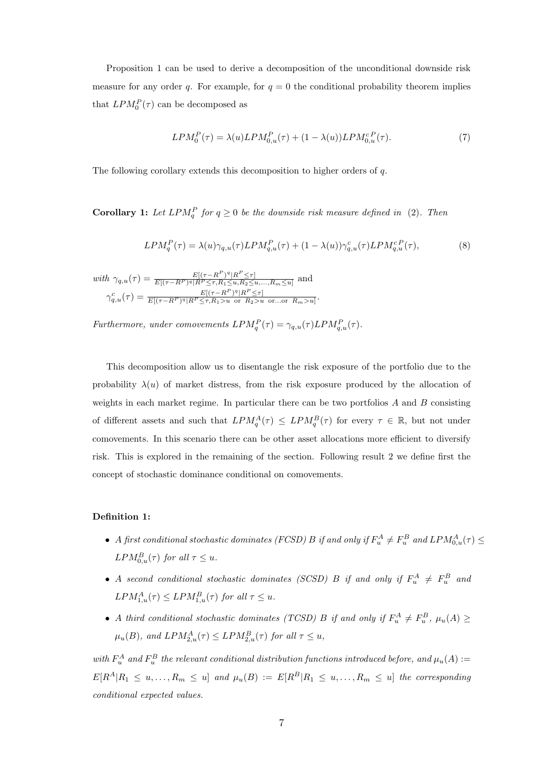Proposition 1 can be used to derive a decomposition of the unconditional downside risk measure for any order q. For example, for  $q = 0$  the conditional probability theorem implies that  $LPM_0^P(\tau)$  can be decomposed as

$$
LPM_0^P(\tau) = \lambda(u) LPM_{0,u}^P(\tau) + (1 - \lambda(u)) LPM_{0,u}^{c,P}(\tau). \tag{7}
$$

The following corollary extends this decomposition to higher orders of q.

**Corollary 1:** Let  $LPM_q^P$  for  $q \geq 0$  be the downside risk measure defined in (2). Then

$$
LPM_q^P(\tau) = \lambda(u)\gamma_{q,u}(\tau) LPM_{q,u}^P(\tau) + (1 - \lambda(u))\gamma_{q,u}^c(\tau) LPM_{q,u}^{cP}(\tau),
$$
\n(8)

.

 $with \ \gamma_{q,u}(\tau) = \frac{E[(\tau - R^P)^q]R^P \leq \tau]}{E[(\tau - R^P)^q]R^P \leq \tau R_1 \leq u R_2 \leq u}$  $\frac{E[(\tau - K^{\dagger})^{\dagger}]K^{\dagger} \leq \tau]}{E[(\tau - R^P)^{q}]R^P \leq \tau, R_1 \leq u, R_2 \leq u, ..., R_m \leq u]}$  and  $\gamma_{q,u}^c(\tau) = \frac{E[(\tau - R^P)^q|R^P \leq \tau]}{E[(\tau - R^P)^q|R^P \leq \tau, R_1 > u \text{ or } R_2 > u]}$  $E[(\tau-R^P)^q|R^P\leq \tau, R_1>u \text{ or } R_2>u \text{ or...or } R_m>u]$ 

Furthermore, under comovements  $LPM_q^P(\tau) = \gamma_{q,u}(\tau) LPM_{q,u}^P(\tau)$ .

This decomposition allow us to disentangle the risk exposure of the portfolio due to the probability  $\lambda(u)$  of market distress, from the risk exposure produced by the allocation of weights in each market regime. In particular there can be two portfolios  $A$  and  $B$  consisting of different assets and such that  $LPM_{q}^{A}(\tau) \leq LPM_{q}^{B}(\tau)$  for every  $\tau \in \mathbb{R}$ , but not under comovements. In this scenario there can be other asset allocations more efficient to diversify risk. This is explored in the remaining of the section. Following result 2 we define first the concept of stochastic dominance conditional on comovements.

#### Definition 1:

- A first conditional stochastic dominates (FCSD) B if and only if  $F_u^A \neq F_u^B$  and  $LPM_{0,u}^A(\tau) \leq$  $LPM_{0,u}^{B}(\tau)$  for all  $\tau \leq u$ .
- A second conditional stochastic dominates (SCSD) B if and only if  $F_u^A \neq F_u^B$  and  $LPM_{1,u}^{A}(\tau) \leq LPM_{1,u}^{B}(\tau)$  for all  $\tau \leq u$ .
- A third conditional stochastic dominates (TCSD) B if and only if  $F_u^A \neq F_u^B$ ,  $\mu_u(A) \geq$  $\mu_u(B)$ , and  $LPM_{2,u}^A(\tau) \leq LPM_{2,u}^B(\tau)$  for all  $\tau \leq u$ ,

with  $F_u^A$  and  $F_u^B$  the relevant conditional distribution functions introduced before, and  $\mu_u(A) :=$  $E[R^A|R_1 \leq u, ..., R_m \leq u]$  and  $\mu_u(B) := E[R^B|R_1 \leq u, ..., R_m \leq u]$  the corresponding conditional expected values.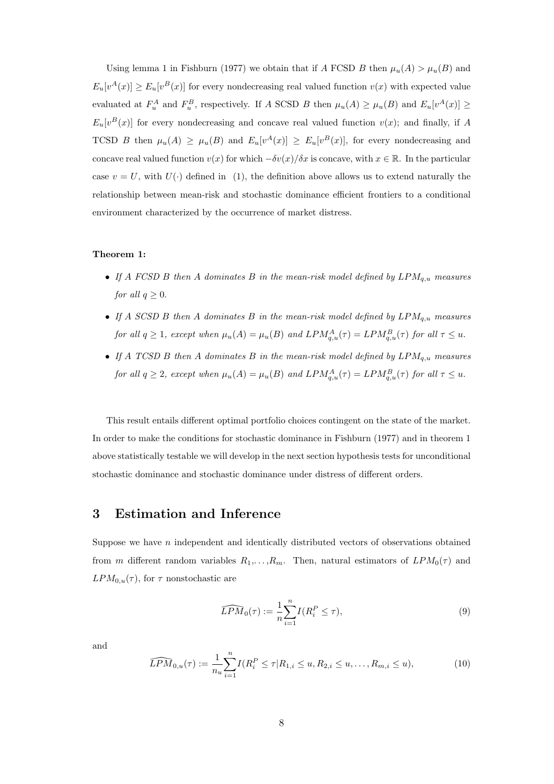Using lemma 1 in Fishburn (1977) we obtain that if A FCSD B then  $\mu_u(A) > \mu_u(B)$  and  $E_u[v^A(x)] \ge E_u[v^B(x)]$  for every nondecreasing real valued function  $v(x)$  with expected value evaluated at  $F_u^A$  and  $F_u^B$ , respectively. If A SCSD B then  $\mu_u(A) \geq \mu_u(B)$  and  $E_u[v^A(x)] \geq$  $E_u[v^B(x)]$  for every nondecreasing and concave real valued function  $v(x)$ ; and finally, if A TCSD B then  $\mu_u(A) \geq \mu_u(B)$  and  $E_u[v^A(x)] \geq E_u[v^B(x)]$ , for every nondecreasing and concave real valued function  $v(x)$  for which  $-\delta v(x)/\delta x$  is concave, with  $x \in \mathbb{R}$ . In the particular case  $v = U$ , with  $U(\cdot)$  defined in (1), the definition above allows us to extend naturally the relationship between mean-risk and stochastic dominance efficient frontiers to a conditional environment characterized by the occurrence of market distress.

#### Theorem 1:

- If A FCSD B then A dominates B in the mean-risk model defined by  $LPM_{q,u}$  measures for all  $q \geq 0$ .
- If A SCSD B then A dominates B in the mean-risk model defined by  $LPM_{q,u}$  measures for all  $q \ge 1$ , except when  $\mu_u(A) = \mu_u(B)$  and  $LPM_{q,u}^A(\tau) = LPM_{q,u}^B(\tau)$  for all  $\tau \le u$ .
- If A TCSD B then A dominates B in the mean-risk model defined by  $LPM_{q,u}$  measures for all  $q \geq 2$ , except when  $\mu_u(A) = \mu_u(B)$  and  $LPM_{q,u}^A(\tau) = LPM_{q,u}^B(\tau)$  for all  $\tau \leq u$ .

This result entails different optimal portfolio choices contingent on the state of the market. In order to make the conditions for stochastic dominance in Fishburn (1977) and in theorem 1 above statistically testable we will develop in the next section hypothesis tests for unconditional stochastic dominance and stochastic dominance under distress of different orders.

## 3 Estimation and Inference

Suppose we have n independent and identically distributed vectors of observations obtained from m different random variables  $R_1, \ldots, R_m$ . Then, natural estimators of  $LPM_0(\tau)$  and  $LPM_{0,u}(\tau)$ , for  $\tau$  nonstochastic are

$$
\widehat{LPM}_0(\tau) := \frac{1}{n} \sum_{i=1}^n I(R_i^P \le \tau),\tag{9}
$$

and

$$
\widehat{LPM}_{0,u}(\tau) := \frac{1}{n_u} \sum_{i=1}^n I(R_i^P \le \tau | R_{1,i} \le u, R_{2,i} \le u, \dots, R_{m,i} \le u), \tag{10}
$$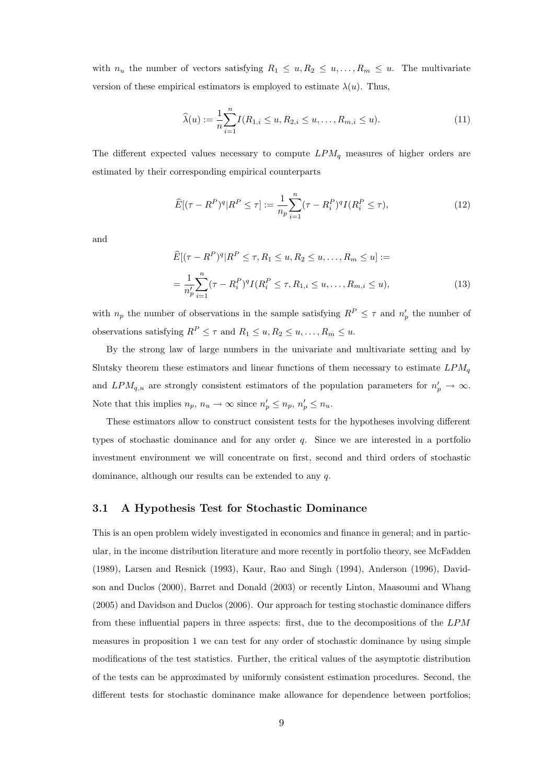with  $n_u$  the number of vectors satisfying  $R_1 \leq u, R_2 \leq u, \ldots, R_m \leq u$ . The multivariate version of these empirical estimators is employed to estimate  $\lambda(u)$ . Thus,

$$
\widehat{\lambda}(u) := \frac{1}{n} \sum_{i=1}^{n} I(R_{1,i} \le u, R_{2,i} \le u, \dots, R_{m,i} \le u).
$$
\n(11)

The different expected values necessary to compute  $LPM_q$  measures of higher orders are estimated by their corresponding empirical counterparts

$$
\widehat{E}[(\tau - R^P)^q | R^P \le \tau] := \frac{1}{n_p} \sum_{i=1}^n (\tau - R_i^P)^q I(R_i^P \le \tau),\tag{12}
$$

and

$$
\widehat{E}[(\tau - R^P)^q | R^P \le \tau, R_1 \le u, R_2 \le u, \dots, R_m \le u] :=
$$
\n
$$
= \frac{1}{n'_p} \sum_{i=1}^n (\tau - R_i^P)^q I(R_i^P \le \tau, R_{1,i} \le u, \dots, R_{m,i} \le u),
$$
\n(13)

with  $n_p$  the number of observations in the sample satisfying  $R^P \leq \tau$  and  $n'_p$  the number of observations satisfying  $R^P \leq \tau$  and  $R_1 \leq u, R_2 \leq u, \ldots, R_m \leq u$ .

By the strong law of large numbers in the univariate and multivariate setting and by Slutsky theorem these estimators and linear functions of them necessary to estimate  $LPM_q$ and  $LPM_{q,u}$  are strongly consistent estimators of the population parameters for  $n'_p \to \infty$ . Note that this implies  $n_p$ ,  $n_u \to \infty$  since  $n'_p \leq n_p$ ,  $n'_p \leq n_u$ .

These estimators allow to construct consistent tests for the hypotheses involving different types of stochastic dominance and for any order  $q$ . Since we are interested in a portfolio investment environment we will concentrate on first, second and third orders of stochastic dominance, although our results can be extended to any q.

#### 3.1 A Hypothesis Test for Stochastic Dominance

This is an open problem widely investigated in economics and finance in general; and in particular, in the income distribution literature and more recently in portfolio theory, see McFadden (1989), Larsen and Resnick (1993), Kaur, Rao and Singh (1994), Anderson (1996), Davidson and Duclos (2000), Barret and Donald (2003) or recently Linton, Maasoumi and Whang (2005) and Davidson and Duclos (2006). Our approach for testing stochastic dominance differs from these influential papers in three aspects: first, due to the decompositions of the LPM measures in proposition 1 we can test for any order of stochastic dominance by using simple modifications of the test statistics. Further, the critical values of the asymptotic distribution of the tests can be approximated by uniformly consistent estimation procedures. Second, the different tests for stochastic dominance make allowance for dependence between portfolios;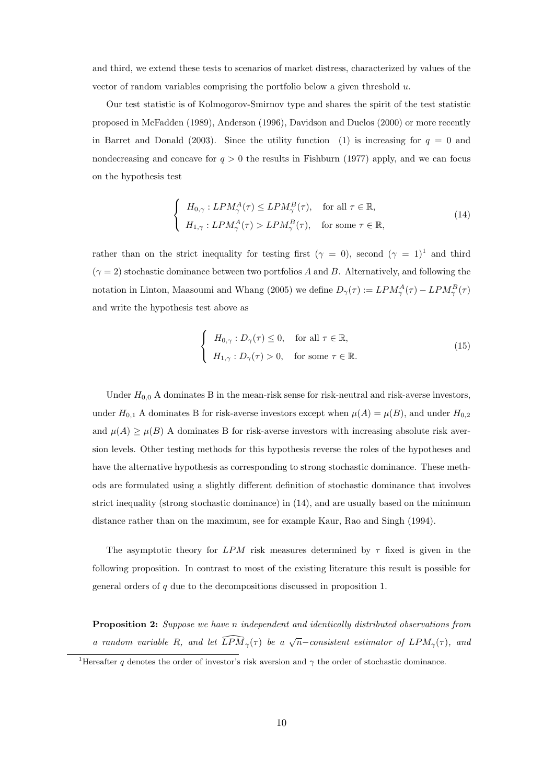and third, we extend these tests to scenarios of market distress, characterized by values of the vector of random variables comprising the portfolio below a given threshold  $u$ .

Our test statistic is of Kolmogorov-Smirnov type and shares the spirit of the test statistic proposed in McFadden (1989), Anderson (1996), Davidson and Duclos (2000) or more recently in Barret and Donald (2003). Since the utility function (1) is increasing for  $q = 0$  and nondecreasing and concave for  $q > 0$  the results in Fishburn (1977) apply, and we can focus on the hypothesis test

$$
\begin{cases}\nH_{0,\gamma}: LPM_{\gamma}^{A}(\tau) \le LPM_{\gamma}^{B}(\tau), & \text{for all } \tau \in \mathbb{R}, \\
H_{1,\gamma}: LPM_{\gamma}^{A}(\tau) > LPM_{\gamma}^{B}(\tau), & \text{for some } \tau \in \mathbb{R},\n\end{cases}
$$
\n(14)

rather than on the strict inequality for testing first ( $\gamma = 0$ ), second ( $\gamma = 1$ )<sup>1</sup> and third  $(\gamma = 2)$  stochastic dominance between two portfolios A and B. Alternatively, and following the notation in Linton, Maasoumi and Whang (2005) we define  $D_{\gamma}(\tau) := LPM_{\gamma}^{A}(\tau) - LPM_{\gamma}^{B}(\tau)$ and write the hypothesis test above as

$$
\begin{cases}\nH_{0,\gamma}: D_{\gamma}(\tau) \le 0, & \text{for all } \tau \in \mathbb{R}, \\
H_{1,\gamma}: D_{\gamma}(\tau) > 0, & \text{for some } \tau \in \mathbb{R}.\n\end{cases}
$$
\n(15)

Under  $H_{0,0}$  A dominates B in the mean-risk sense for risk-neutral and risk-averse investors, under  $H_{0,1}$  A dominates B for risk-averse investors except when  $\mu(A) = \mu(B)$ , and under  $H_{0,2}$ and  $\mu(A) \geq \mu(B)$  A dominates B for risk-averse investors with increasing absolute risk aversion levels. Other testing methods for this hypothesis reverse the roles of the hypotheses and have the alternative hypothesis as corresponding to strong stochastic dominance. These methods are formulated using a slightly different definition of stochastic dominance that involves strict inequality (strong stochastic dominance) in (14), and are usually based on the minimum distance rather than on the maximum, see for example Kaur, Rao and Singh (1994).

The asymptotic theory for LPM risk measures determined by  $\tau$  fixed is given in the following proposition. In contrast to most of the existing literature this result is possible for general orders of q due to the decompositions discussed in proposition 1.

Proposition 2: Suppose we have n independent and identically distributed observations from a random variable R, and let  $\widehat{LPM}_{\gamma}(\tau)$  be a  $\sqrt{n}$ -consistent estimator of  $LPM_{\gamma}(\tau)$ , and

<sup>&</sup>lt;sup>1</sup>Hereafter q denotes the order of investor's risk aversion and  $\gamma$  the order of stochastic dominance.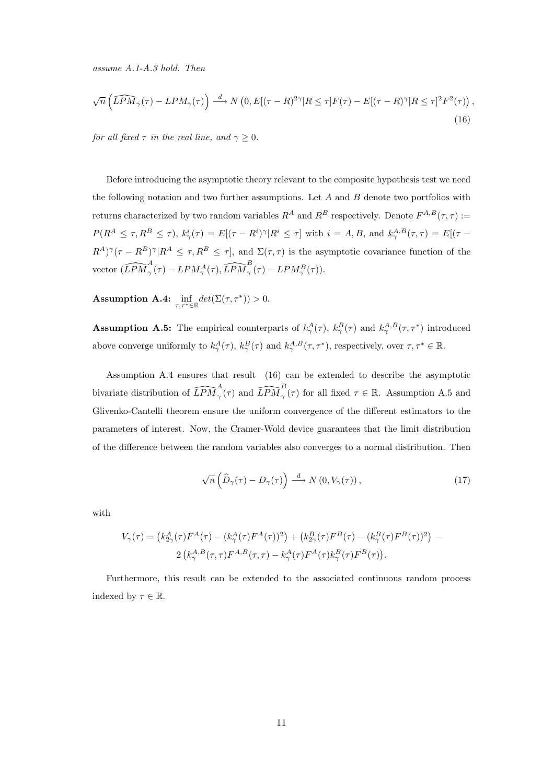assume A.1-A.3 hold. Then

$$
\sqrt{n}\left(\widehat{LPM}_{\gamma}(\tau) - LPM_{\gamma}(\tau)\right) \stackrel{d}{\longrightarrow} N\left(0, E[(\tau - R)^{2\gamma}]R \leq \tau\right]F(\tau) - E[(\tau - R)^{\gamma}]R \leq \tau]^2 F^2(\tau)\right),\tag{16}
$$

for all fixed  $\tau$  in the real line, and  $\gamma \geq 0$ .

Before introducing the asymptotic theory relevant to the composite hypothesis test we need the following notation and two further assumptions. Let  $A$  and  $B$  denote two portfolios with returns characterized by two random variables  $R^A$  and  $R^B$  respectively. Denote  $F^{A,B}(\tau,\tau) :=$  $P(R^A \leq \tau, R^B \leq \tau)$ ,  $k^i_{\gamma}(\tau) = E[(\tau - R^i)^{\gamma}]R^i \leq \tau]$  with  $i = A, B$ , and  $k^{A,B}_{\gamma}(\tau, \tau) = E[(\tau - R^i)^{\gamma}]R^i$  $(R^A)^\gamma(\tau - R^B)^\gamma | R^A \leq \tau, R^B \leq \tau$ , and  $\Sigma(\tau, \tau)$  is the asymptotic covariance function of the vector  $\widehat{(LPM}^A_\gamma(\tau) - LPM^A_\gamma(\tau), \widehat{LPM}^B_\gamma(\tau) - LPM^B_\gamma(\tau)).$ 

**Assumption A.4:**  $\inf_{\tau,\tau^*\in\mathbb{R}} det(\Sigma(\tau,\tau^*)) > 0.$ 

**Assumption A.5:** The empirical counterparts of  $k^A_\gamma(\tau)$ ,  $k^B_\gamma(\tau)$  and  $k^{A,B}_\gamma(\tau,\tau^*)$  introduced above converge uniformly to  $k^A_\gamma(\tau)$ ,  $k^B_\gamma(\tau)$  and  $k^{A,B}_\gamma(\tau,\tau^*)$ , respectively, over  $\tau,\tau^* \in \mathbb{R}$ .

Assumption A.4 ensures that result (16) can be extended to describe the asymptotic bivariate distribution of  $\widehat{LPM}^A_\gamma(\tau)$  and  $\widehat{LPM}^B_\gamma(\tau)$  for all fixed  $\tau \in \mathbb{R}$ . Assumption A.5 and Glivenko-Cantelli theorem ensure the uniform convergence of the different estimators to the parameters of interest. Now, the Cramer-Wold device guarantees that the limit distribution of the difference between the random variables also converges to a normal distribution. Then

$$
\sqrt{n}\left(\widehat{D}_{\gamma}(\tau)-D_{\gamma}(\tau)\right) \stackrel{d}{\longrightarrow} N\left(0,V_{\gamma}(\tau)\right),\tag{17}
$$

with

$$
V_{\gamma}(\tau) = (k_{2\gamma}^{A}(\tau)F^{A}(\tau) - (k_{\gamma}^{A}(\tau)F^{A}(\tau))^{2}) + (k_{2\gamma}^{B}(\tau)F^{B}(\tau) - (k_{\gamma}^{B}(\tau)F^{B}(\tau))^{2}) - 2(k_{\gamma}^{A,B}(\tau,\tau)F^{A,B}(\tau,\tau) - k_{\gamma}^{A}(\tau)F^{A}(\tau)k_{\gamma}^{B}(\tau)F^{B}(\tau)).
$$

Furthermore, this result can be extended to the associated continuous random process indexed by  $\tau \in \mathbb{R}$ .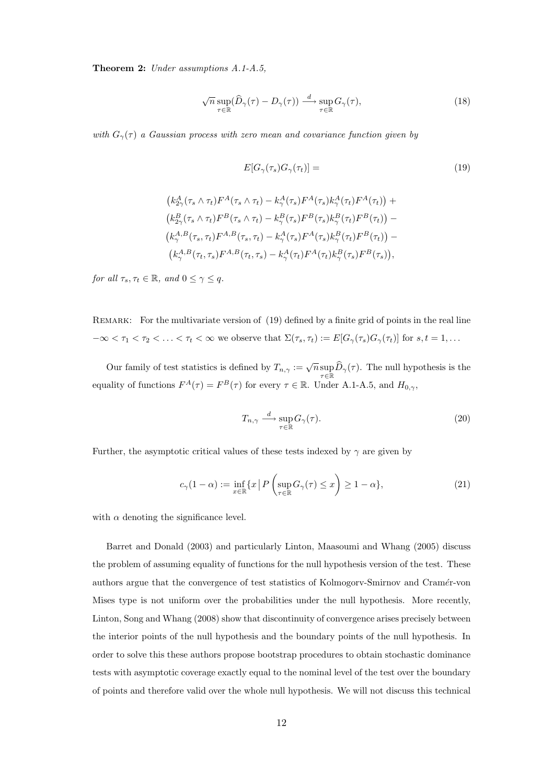Theorem 2: Under assumptions A.1-A.5,

$$
\sqrt{n}\sup_{\tau\in\mathbb{R}}(\widehat{D}_{\gamma}(\tau)-D_{\gamma}(\tau))\stackrel{d}{\longrightarrow}\sup_{\tau\in\mathbb{R}}G_{\gamma}(\tau),\tag{18}
$$

with  $G_{\gamma}(\tau)$  a Gaussian process with zero mean and covariance function given by

$$
E[G_{\gamma}(\tau_s)G_{\gamma}(\tau_t)] = (19)
$$

$$
(k_{2\gamma}^A(\tau_s \wedge \tau_t)F^A(\tau_s \wedge \tau_t) - k_{\gamma}^A(\tau_s)F^A(\tau_s)k_{\gamma}^A(\tau_t)F^A(\tau_t)) +(k_{2\gamma}^B(\tau_s \wedge \tau_t)F^B(\tau_s \wedge \tau_t) - k_{\gamma}^B(\tau_s)F^B(\tau_s)k_{\gamma}^B(\tau_t)F^B(\tau_t)) -(k_{\gamma}^{A,B}(\tau_s, \tau_t)F^{A,B}(\tau_s, \tau_t) - k_{\gamma}^A(\tau_s)F^A(\tau_s)k_{\gamma}^B(\tau_t)F^B(\tau_t)) -(k_{\gamma}^{A,B}(\tau_t, \tau_s)F^{A,B}(\tau_t, \tau_s) - k_{\gamma}^A(\tau_t)F^A(\tau_t)k_{\gamma}^B(\tau_s)F^B(\tau_s)),
$$

for all  $\tau_s, \tau_t \in \mathbb{R}$ , and  $0 \leq \gamma \leq q$ .

REMARK: For the multivariate version of (19) defined by a finite grid of points in the real line  $-\infty < \tau_1 < \tau_2 < \ldots < \tau_t < \infty$  we observe that  $\Sigma(\tau_s, \tau_t) := E[G_{\gamma}(\tau_s)G_{\gamma}(\tau_t)]$  for  $s, t = 1, \ldots$ 

Our family of test statistics is defined by  $T_{n,\gamma} := \sqrt{n} \sup_{\tau \in \mathbb{R}} \widehat{D}_{\gamma}(\tau)$ . The null hypothesis is the equality of functions  $F^{A}(\tau) = F^{B}(\tau)$  for every  $\tau \in \mathbb{R}$ . Under A.1-A.5, and  $H_{0,\gamma}$ ,

$$
T_{n,\gamma} \stackrel{d}{\longrightarrow} \sup_{\tau \in \mathbb{R}} G_{\gamma}(\tau). \tag{20}
$$

Further, the asymptotic critical values of these tests indexed by  $\gamma$  are given by

$$
c_{\gamma}(1-\alpha) := \inf_{x \in \mathbb{R}} \{ x \mid P\left(\sup_{\tau \in \mathbb{R}} G_{\gamma}(\tau) \le x \right) \ge 1 - \alpha \},\tag{21}
$$

with  $\alpha$  denoting the significance level.

Barret and Donald (2003) and particularly Linton, Maasoumi and Whang (2005) discuss the problem of assuming equality of functions for the null hypothesis version of the test. These authors argue that the convergence of test statistics of Kolmogorv-Smirnov and Cramér-von Mises type is not uniform over the probabilities under the null hypothesis. More recently, Linton, Song and Whang (2008) show that discontinuity of convergence arises precisely between the interior points of the null hypothesis and the boundary points of the null hypothesis. In order to solve this these authors propose bootstrap procedures to obtain stochastic dominance tests with asymptotic coverage exactly equal to the nominal level of the test over the boundary of points and therefore valid over the whole null hypothesis. We will not discuss this technical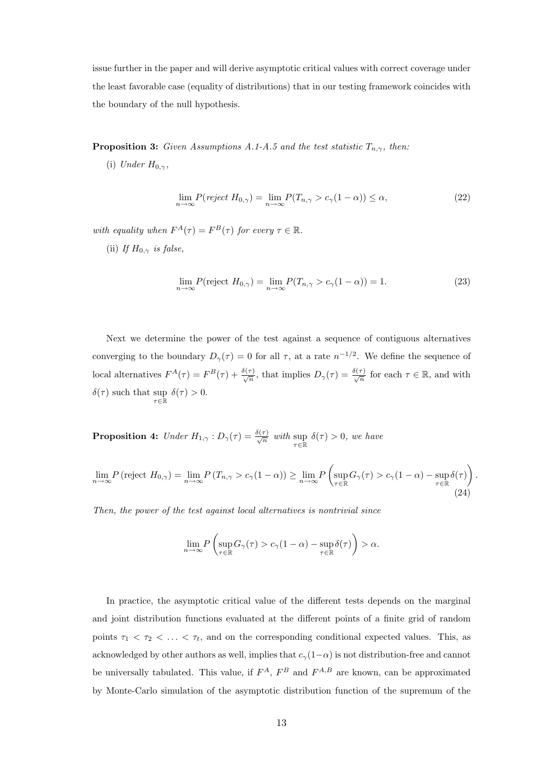issue further in the paper and will derive asymptotic critical values with correct coverage under the least favorable case (equality of distributions) that in our testing framework coincides with the boundary of the null hypothesis.

**Proposition 3:** Given Assumptions A.1-A.5 and the test statistic  $T_{n,\gamma}$ , then:

(i) Under  $H_{0,\gamma}$ ,

$$
\lim_{n \to \infty} P(reject H_{0,\gamma}) = \lim_{n \to \infty} P(T_{n,\gamma} > c_{\gamma}(1 - \alpha)) \le \alpha,
$$
\n(22)

with equality when  $F^{A}(\tau) = F^{B}(\tau)$  for every  $\tau \in \mathbb{R}$ .

(ii) If  $H_{0,\gamma}$  is false,

$$
\lim_{n \to \infty} P(\text{reject } H_{0,\gamma}) = \lim_{n \to \infty} P(T_{n,\gamma} > c_{\gamma}(1 - \alpha)) = 1. \tag{23}
$$

Next we determine the power of the test against a sequence of contiguous alternatives converging to the boundary  $D_{\gamma}(\tau) = 0$  for all  $\tau$ , at a rate  $n^{-1/2}$ . We define the sequence of local alternatives  $F^{A}(\tau) = F^{B}(\tau) + \frac{\delta(\tau)}{\sqrt{n}}$ , that implies  $D_{\gamma}(\tau) = \frac{\delta(\tau)}{\sqrt{n}}$  for each  $\tau \in \mathbb{R}$ , and with  $\delta(\tau)$  such that sup  $\delta(\tau) > 0$ .

**Proposition 4:** Under  $H_{1,\gamma}: D_{\gamma}(\tau) = \frac{\delta(\tau)}{\sqrt{n}}$  with  $\sup_{\tau \in \mathbb{R}} \delta(\tau) > 0$ , we have

$$
\lim_{n \to \infty} P(\text{reject } H_{0,\gamma}) = \lim_{n \to \infty} P(T_{n,\gamma} > c_{\gamma}(1-\alpha)) \ge \lim_{n \to \infty} P\left(\sup_{\tau \in \mathbb{R}} G_{\gamma}(\tau) > c_{\gamma}(1-\alpha) - \sup_{\tau \in \mathbb{R}} \delta(\tau)\right).
$$
\n(24)

Then, the power of the test against local alternatives is nontrivial since

$$
\lim_{n \to \infty} P\left(\sup_{\tau \in \mathbb{R}} G_{\gamma}(\tau) > c_{\gamma}(1-\alpha) - \sup_{\tau \in \mathbb{R}} \delta(\tau)\right) > \alpha.
$$

In practice, the asymptotic critical value of the different tests depends on the marginal and joint distribution functions evaluated at the different points of a finite grid of random points  $\tau_1 < \tau_2 < \ldots < \tau_t$ , and on the corresponding conditional expected values. This, as acknowledged by other authors as well, implies that  $c_\gamma(1-\alpha)$  is not distribution-free and cannot be universally tabulated. This value, if  $F^A$ ,  $F^B$  and  $F^{A,B}$  are known, can be approximated by Monte-Carlo simulation of the asymptotic distribution function of the supremum of the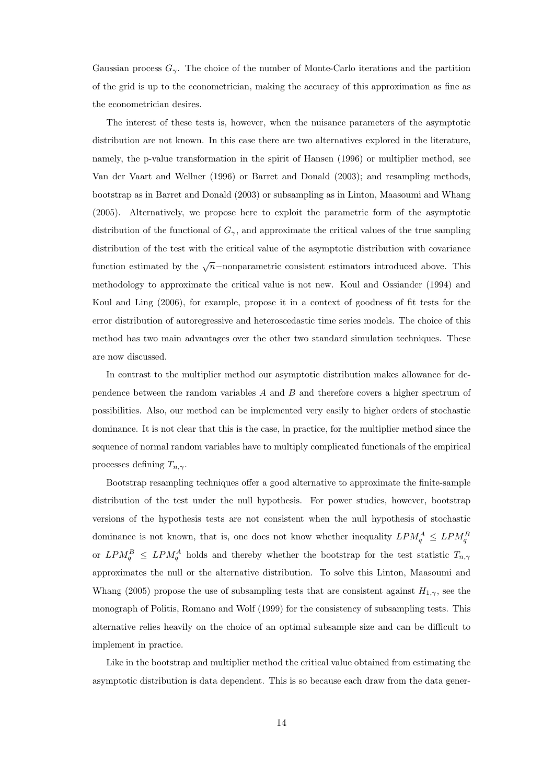Gaussian process  $G_{\gamma}$ . The choice of the number of Monte-Carlo iterations and the partition of the grid is up to the econometrician, making the accuracy of this approximation as fine as the econometrician desires.

The interest of these tests is, however, when the nuisance parameters of the asymptotic distribution are not known. In this case there are two alternatives explored in the literature, namely, the p-value transformation in the spirit of Hansen (1996) or multiplier method, see Van der Vaart and Wellner (1996) or Barret and Donald (2003); and resampling methods, bootstrap as in Barret and Donald (2003) or subsampling as in Linton, Maasoumi and Whang (2005). Alternatively, we propose here to exploit the parametric form of the asymptotic distribution of the functional of  $G_{\gamma}$ , and approximate the critical values of the true sampling distribution of the test with the critical value of the asymptotic distribution with covariance function estimated by the  $\sqrt{n}$ -nonparametric consistent estimators introduced above. This methodology to approximate the critical value is not new. Koul and Ossiander (1994) and Koul and Ling (2006), for example, propose it in a context of goodness of fit tests for the error distribution of autoregressive and heteroscedastic time series models. The choice of this method has two main advantages over the other two standard simulation techniques. These are now discussed.

In contrast to the multiplier method our asymptotic distribution makes allowance for dependence between the random variables A and B and therefore covers a higher spectrum of possibilities. Also, our method can be implemented very easily to higher orders of stochastic dominance. It is not clear that this is the case, in practice, for the multiplier method since the sequence of normal random variables have to multiply complicated functionals of the empirical processes defining  $T_{n,\gamma}$ .

Bootstrap resampling techniques offer a good alternative to approximate the finite-sample distribution of the test under the null hypothesis. For power studies, however, bootstrap versions of the hypothesis tests are not consistent when the null hypothesis of stochastic dominance is not known, that is, one does not know whether inequality  $LPM_q^A \leq LPM_q^B$ or  $LPM_{q}^{B} \leq LPM_{q}^{A}$  holds and thereby whether the bootstrap for the test statistic  $T_{n,\gamma}$ approximates the null or the alternative distribution. To solve this Linton, Maasoumi and Whang (2005) propose the use of subsampling tests that are consistent against  $H_{1,\gamma}$ , see the monograph of Politis, Romano and Wolf (1999) for the consistency of subsampling tests. This alternative relies heavily on the choice of an optimal subsample size and can be difficult to implement in practice.

Like in the bootstrap and multiplier method the critical value obtained from estimating the asymptotic distribution is data dependent. This is so because each draw from the data gener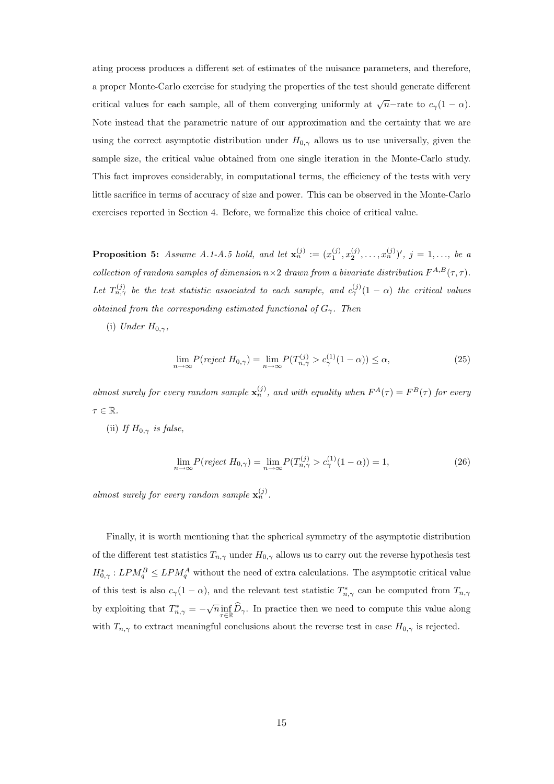ating process produces a different set of estimates of the nuisance parameters, and therefore, a proper Monte-Carlo exercise for studying the properties of the test should generate different critical values for each sample, all of them converging uniformly at  $\sqrt{n}$ -rate to  $c_{\gamma}(1-\alpha)$ . Note instead that the parametric nature of our approximation and the certainty that we are using the correct asymptotic distribution under  $H_{0,\gamma}$  allows us to use universally, given the sample size, the critical value obtained from one single iteration in the Monte-Carlo study. This fact improves considerably, in computational terms, the efficiency of the tests with very little sacrifice in terms of accuracy of size and power. This can be observed in the Monte-Carlo exercises reported in Section 4. Before, we formalize this choice of critical value.

**Proposition 5:** Assume A.1-A.5 hold, and let  $\mathbf{x}_n^{(j)} := (x_1^{(j)}, x_2^{(j)}, \ldots, x_n^{(j)})'$ ,  $j = 1, \ldots,$  be a collection of random samples of dimension  $n \times 2$  drawn from a bivariate distribution  $F^{A,B}(\tau, \tau)$ . Let  $T_{n,\gamma}^{(j)}$  be the test statistic associated to each sample, and  $c_{\gamma}^{(j)}(1-\alpha)$  the critical values obtained from the corresponding estimated functional of  $G_\gamma$ . Then

(i) Under  $H_{0,\gamma}$ ,

$$
\lim_{n \to \infty} P(reject H_{0,\gamma}) = \lim_{n \to \infty} P(T_{n,\gamma}^{(j)} > c_{\gamma}^{(1)}(1-\alpha)) \le \alpha,\tag{25}
$$

almost surely for every random sample  $\mathbf{x}_n^{(j)}$ , and with equality when  $F^A(\tau) = F^B(\tau)$  for every  $\tau \in \mathbb{R}$ .

(ii) If  $H_{0,\gamma}$  is false,

$$
\lim_{n \to \infty} P(reject H_{0,\gamma}) = \lim_{n \to \infty} P(T_{n,\gamma}^{(j)} > c_{\gamma}^{(1)}(1-\alpha)) = 1,\tag{26}
$$

almost surely for every random sample  $\mathbf{x}_n^{(j)}$ .

Finally, it is worth mentioning that the spherical symmetry of the asymptotic distribution of the different test statistics  $T_{n,\gamma}$  under  $H_{0,\gamma}$  allows us to carry out the reverse hypothesis test  $H_{0,\gamma}^* : LPM_{q}^B \leq LPM_{q}^A$  without the need of extra calculations. The asymptotic critical value of this test is also  $c_\gamma(1-\alpha)$ , and the relevant test statistic  $T^*_{n,\gamma}$  can be computed from  $T_{n,\gamma}$ by exploiting that  $T_{n,\gamma}^* = -\sqrt{n} \inf_{\tau \in \mathbb{R}} \widehat{D}_{\gamma}$ . In practice then we need to compute this value along with  $T_{n,\gamma}$  to extract meaningful conclusions about the reverse test in case  $H_{0,\gamma}$  is rejected.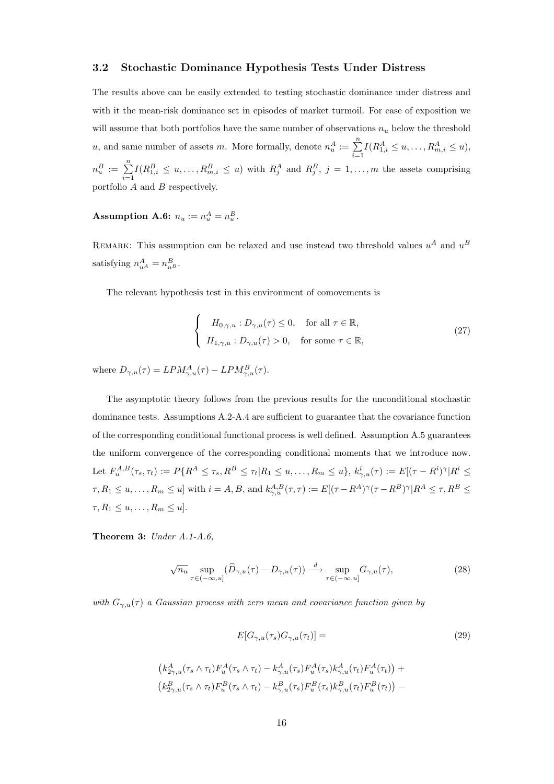#### 3.2 Stochastic Dominance Hypothesis Tests Under Distress

The results above can be easily extended to testing stochastic dominance under distress and with it the mean-risk dominance set in episodes of market turmoil. For ease of exposition we will assume that both portfolios have the same number of observations  $n_u$  below the threshold u, and same number of assets m. More formally, denote  $n_u^A := \sum^n$  $i=1$  $I(R_{1,i}^A \leq u, \ldots, R_{m,i}^A \leq u),$  $n_u^B := \sum^n$  $i=1$  $I(R_{1,i}^B \leq u, \ldots, R_{m,i}^B \leq u)$  with  $R_j^A$  and  $R_j^B$ ,  $j = 1, \ldots, m$  the assets comprising portfolio  $A$  and  $B$  respectively.

Assumption A.6:  $n_u := n_u^A = n_u^B$ .

REMARK: This assumption can be relaxed and use instead two threshold values  $u^A$  and  $u^B$ satisfying  $n_{u^A}^A = n_{u^B}^B$ .

The relevant hypothesis test in this environment of comovements is

$$
\begin{cases}\nH_{0,\gamma,u}: D_{\gamma,u}(\tau) \le 0, & \text{for all } \tau \in \mathbb{R}, \\
H_{1,\gamma,u}: D_{\gamma,u}(\tau) > 0, & \text{for some } \tau \in \mathbb{R},\n\end{cases}
$$
\n(27)

where  $D_{\gamma,u}(\tau) = LPM_{\gamma,u}^A(\tau) - LPM_{\gamma,u}^B(\tau)$ .

The asymptotic theory follows from the previous results for the unconditional stochastic dominance tests. Assumptions A.2-A.4 are sufficient to guarantee that the covariance function of the corresponding conditional functional process is well defined. Assumption A.5 guarantees the uniform convergence of the corresponding conditional moments that we introduce now. Let  $F_u^{A,B}(\tau_s, \tau_t) := P\{R^A \leq \tau_s, R^B \leq \tau_t | R_1 \leq u, \ldots, R_m \leq u\}, k_{\gamma, u}^i(\tau) := E[(\tau - R^i)^{\gamma}]R^i \leq$  $\tau, R_1 \leq u, \ldots, R_m \leq u$ ] with  $i = A, B$ , and  $k_{\gamma, u}^{A, B}(\tau, \tau) := E[(\tau - R^A)^\gamma(\tau - R^B)^\gamma]R^A \leq \tau, R^B \leq$  $\tau, R_1 \leq u, \ldots, R_m \leq u$ .

Theorem 3: Under A.1-A.6,

$$
\sqrt{n_u} \sup_{\tau \in (-\infty, u]} (\widehat{D}_{\gamma, u}(\tau) - D_{\gamma, u}(\tau)) \xrightarrow{d} \sup_{\tau \in (-\infty, u]} G_{\gamma, u}(\tau), \tag{28}
$$

with  $G_{\gamma,u}(\tau)$  a Gaussian process with zero mean and covariance function given by

$$
E[G_{\gamma,u}(\tau_s)G_{\gamma,u}(\tau_t)] = \tag{29}
$$

$$
(k_{2\gamma,u}^A(\tau_s \wedge \tau_t)F_u^A(\tau_s \wedge \tau_t) - k_{\gamma,u}^A(\tau_s)F_u^A(\tau_s)k_{\gamma,u}^A(\tau_t)F_u^A(\tau_t)) +
$$
  

$$
(k_{2\gamma,u}^B(\tau_s \wedge \tau_t)F_u^B(\tau_s \wedge \tau_t) - k_{\gamma,u}^B(\tau_s)F_u^B(\tau_s)k_{\gamma,u}^B(\tau_t)F_u^B(\tau_t)) -
$$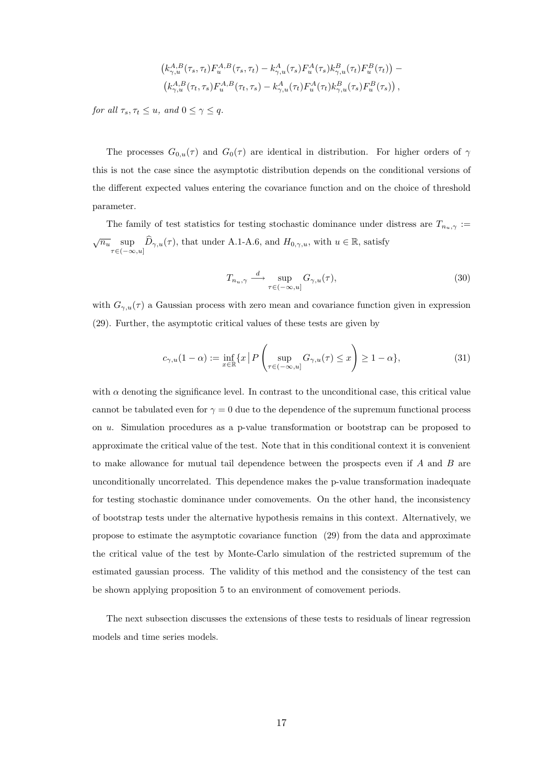$$
(k_{\gamma,u}^{A,B}(\tau_s,\tau_t)F_u^{A,B}(\tau_s,\tau_t) - k_{\gamma,u}^{A}(\tau_s)F_u^A(\tau_s)k_{\gamma,u}^B(\tau_t)F_u^B(\tau_t)) - (k_{\gamma,u}^{A,B}(\tau_t,\tau_s)F_u^A(\tau_t,\tau_s) - k_{\gamma,u}^{A}(\tau_t)F_u^A(\tau_t)k_{\gamma,u}^B(\tau_s)F_u^B(\tau_s)),
$$

for all  $\tau_s, \tau_t \leq u$ , and  $0 \leq \gamma \leq q$ .

The processes  $G_{0,u}(\tau)$  and  $G_0(\tau)$  are identical in distribution. For higher orders of  $\gamma$ this is not the case since the asymptotic distribution depends on the conditional versions of the different expected values entering the covariance function and on the choice of threshold parameter.

The family of test statistics for testing stochastic dominance under distress are  $T_{n_u,\gamma}$  :=  $\sqrt{n_u} \sup_{\tau \in (-\infty, u]} \widehat{D}_{\gamma, u}(\tau)$ , that under A.1-A.6, and  $H_{0,\gamma,u}$ , with  $u \in \mathbb{R}$ , satisfy

$$
T_{n_u,\gamma} \stackrel{d}{\longrightarrow} \sup_{\tau \in (-\infty, u]} G_{\gamma,u}(\tau), \tag{30}
$$

with  $G_{\gamma,u}(\tau)$  a Gaussian process with zero mean and covariance function given in expression (29). Further, the asymptotic critical values of these tests are given by

$$
c_{\gamma,u}(1-\alpha) := \inf_{x \in \mathbb{R}} \{x \mid P\left(\sup_{\tau \in (-\infty, u]} G_{\gamma,u}(\tau) \le x\right) \ge 1 - \alpha\},\tag{31}
$$

with  $\alpha$  denoting the significance level. In contrast to the unconditional case, this critical value cannot be tabulated even for  $\gamma = 0$  due to the dependence of the supremum functional process on u. Simulation procedures as a p-value transformation or bootstrap can be proposed to approximate the critical value of the test. Note that in this conditional context it is convenient to make allowance for mutual tail dependence between the prospects even if  $A$  and  $B$  are unconditionally uncorrelated. This dependence makes the p-value transformation inadequate for testing stochastic dominance under comovements. On the other hand, the inconsistency of bootstrap tests under the alternative hypothesis remains in this context. Alternatively, we propose to estimate the asymptotic covariance function (29) from the data and approximate the critical value of the test by Monte-Carlo simulation of the restricted supremum of the estimated gaussian process. The validity of this method and the consistency of the test can be shown applying proposition 5 to an environment of comovement periods.

The next subsection discusses the extensions of these tests to residuals of linear regression models and time series models.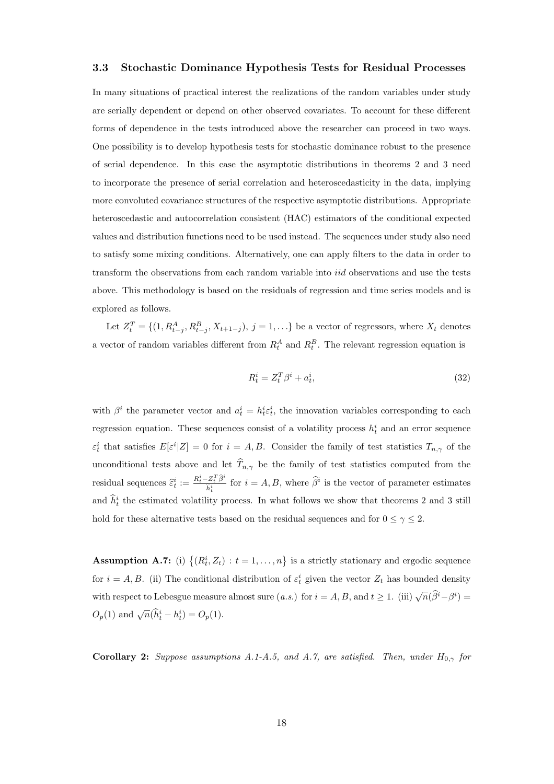#### 3.3 Stochastic Dominance Hypothesis Tests for Residual Processes

In many situations of practical interest the realizations of the random variables under study are serially dependent or depend on other observed covariates. To account for these different forms of dependence in the tests introduced above the researcher can proceed in two ways. One possibility is to develop hypothesis tests for stochastic dominance robust to the presence of serial dependence. In this case the asymptotic distributions in theorems 2 and 3 need to incorporate the presence of serial correlation and heteroscedasticity in the data, implying more convoluted covariance structures of the respective asymptotic distributions. Appropriate heteroscedastic and autocorrelation consistent (HAC) estimators of the conditional expected values and distribution functions need to be used instead. The sequences under study also need to satisfy some mixing conditions. Alternatively, one can apply filters to the data in order to transform the observations from each random variable into iid observations and use the tests above. This methodology is based on the residuals of regression and time series models and is explored as follows.

Let  $Z_t^T = \{(1, R_{t-j}^A, R_{t-j}^B, X_{t+1-j}), j = 1, \ldots\}$  be a vector of regressors, where  $X_t$  denotes a vector of random variables different from  $R_t^A$  and  $R_t^B$ . The relevant regression equation is

$$
R_t^i = Z_t^T \beta^i + a_t^i,\tag{32}
$$

with  $\beta^i$  the parameter vector and  $a_t^i = h_t^i \varepsilon_t^i$ , the innovation variables corresponding to each regression equation. These sequences consist of a volatility process  $h_t^i$  and an error sequence  $\varepsilon_t^i$  that satisfies  $E[\varepsilon^i | Z] = 0$  for  $i = A, B$ . Consider the family of test statistics  $T_{n,\gamma}$  of the unconditional tests above and let  $\widehat{T}_{n,\gamma}$  be the family of test statistics computed from the residual sequences  $\hat{\varepsilon}_t^i := \frac{R_t^i - Z_t^T \hat{\beta}^i}{\hat{h}^i}$  $\frac{Z_t^T \beta^i}{\hat{h}_t^i}$  for  $i = A, B$ , where  $\hat{\beta}^i$  is the vector of parameter estimates and  $\hat{h}_t^i$  the estimated volatility process. In what follows we show that theorems 2 and 3 still hold for these alternative tests based on the residual sequences and for  $0 \leq \gamma \leq 2$ .

**Assumption A.7:** (i)  $\{(R_t^i, Z_t) : t = 1, \ldots, n\}$  is a strictly stationary and ergodic sequence for  $i = A, B$ . (ii) The conditional distribution of  $\varepsilon_t^i$  given the vector  $Z_t$  has bounded density with respect to Lebesgue measure almost sure  $(a.s.)$  for  $i = A, B$ , and  $t \geq 1$ . (iii)  $\sqrt{n}(\widehat{\beta}^i - \beta^i) =$  $O_p(1)$  and  $\sqrt{n}(\hat{h}_t^i - h_t^i) = O_p(1)$ .

Corollary 2: Suppose assumptions A.1-A.5, and A.7, are satisfied. Then, under  $H_{0,\gamma}$  for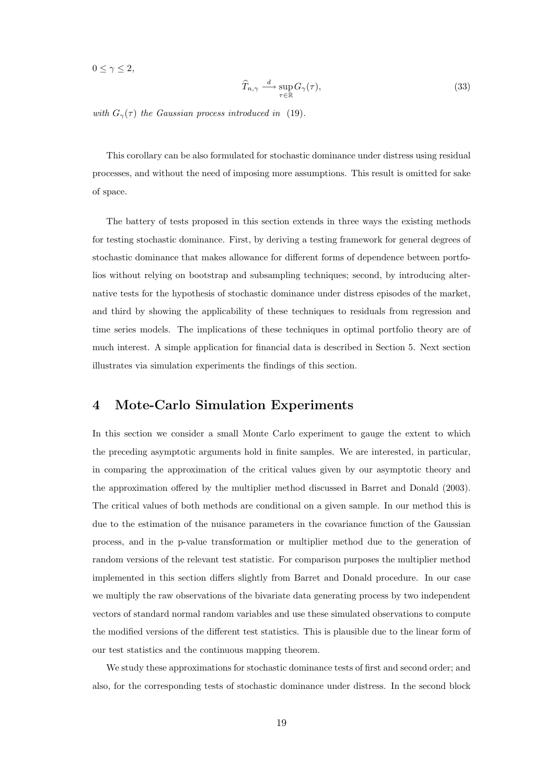$0 \leq \gamma \leq 2$ ,

$$
\widehat{T}_{n,\gamma} \stackrel{d}{\longrightarrow} \sup_{\tau \in \mathbb{R}} G_{\gamma}(\tau),\tag{33}
$$

with  $G_{\gamma}(\tau)$  the Gaussian process introduced in (19).

This corollary can be also formulated for stochastic dominance under distress using residual processes, and without the need of imposing more assumptions. This result is omitted for sake of space.

The battery of tests proposed in this section extends in three ways the existing methods for testing stochastic dominance. First, by deriving a testing framework for general degrees of stochastic dominance that makes allowance for different forms of dependence between portfolios without relying on bootstrap and subsampling techniques; second, by introducing alternative tests for the hypothesis of stochastic dominance under distress episodes of the market, and third by showing the applicability of these techniques to residuals from regression and time series models. The implications of these techniques in optimal portfolio theory are of much interest. A simple application for financial data is described in Section 5. Next section illustrates via simulation experiments the findings of this section.

## 4 Mote-Carlo Simulation Experiments

In this section we consider a small Monte Carlo experiment to gauge the extent to which the preceding asymptotic arguments hold in finite samples. We are interested, in particular, in comparing the approximation of the critical values given by our asymptotic theory and the approximation offered by the multiplier method discussed in Barret and Donald (2003). The critical values of both methods are conditional on a given sample. In our method this is due to the estimation of the nuisance parameters in the covariance function of the Gaussian process, and in the p-value transformation or multiplier method due to the generation of random versions of the relevant test statistic. For comparison purposes the multiplier method implemented in this section differs slightly from Barret and Donald procedure. In our case we multiply the raw observations of the bivariate data generating process by two independent vectors of standard normal random variables and use these simulated observations to compute the modified versions of the different test statistics. This is plausible due to the linear form of our test statistics and the continuous mapping theorem.

We study these approximations for stochastic dominance tests of first and second order; and also, for the corresponding tests of stochastic dominance under distress. In the second block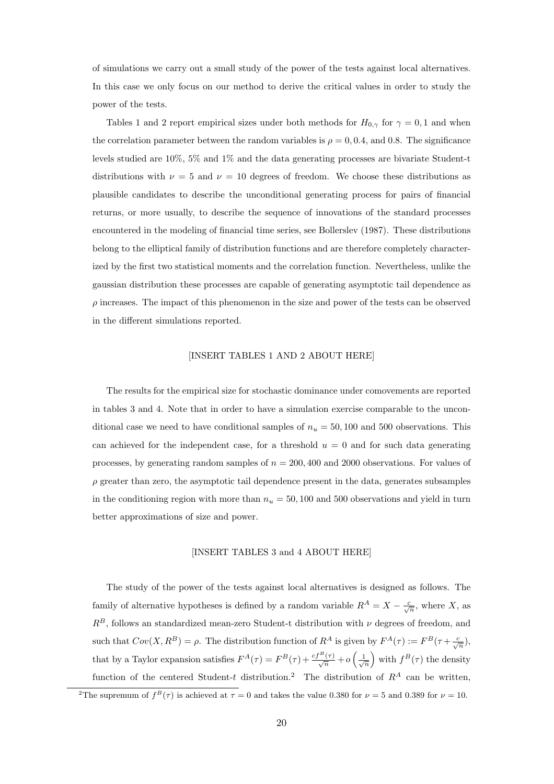of simulations we carry out a small study of the power of the tests against local alternatives. In this case we only focus on our method to derive the critical values in order to study the power of the tests.

Tables 1 and 2 report empirical sizes under both methods for  $H_{0,\gamma}$  for  $\gamma = 0, 1$  and when the correlation parameter between the random variables is  $\rho = 0, 0.4$ , and 0.8. The significance levels studied are 10%, 5% and 1% and the data generating processes are bivariate Student-t distributions with  $\nu = 5$  and  $\nu = 10$  degrees of freedom. We choose these distributions as plausible candidates to describe the unconditional generating process for pairs of financial returns, or more usually, to describe the sequence of innovations of the standard processes encountered in the modeling of financial time series, see Bollerslev (1987). These distributions belong to the elliptical family of distribution functions and are therefore completely characterized by the first two statistical moments and the correlation function. Nevertheless, unlike the gaussian distribution these processes are capable of generating asymptotic tail dependence as  $\rho$  increases. The impact of this phenomenon in the size and power of the tests can be observed in the different simulations reported.

#### [INSERT TABLES 1 AND 2 ABOUT HERE]

The results for the empirical size for stochastic dominance under comovements are reported in tables 3 and 4. Note that in order to have a simulation exercise comparable to the unconditional case we need to have conditional samples of  $n_u = 50,100$  and 500 observations. This can achieved for the independent case, for a threshold  $u = 0$  and for such data generating processes, by generating random samples of  $n = 200, 400$  and 2000 observations. For values of  $\rho$  greater than zero, the asymptotic tail dependence present in the data, generates subsamples in the conditioning region with more than  $n_u = 50, 100$  and 500 observations and yield in turn better approximations of size and power.

#### [INSERT TABLES 3 and 4 ABOUT HERE]

The study of the power of the tests against local alternatives is designed as follows. The family of alternative hypotheses is defined by a random variable  $R^A = X - \frac{c}{\sqrt{n}}$ , where X, as  $R^B$ , follows an standardized mean-zero Student-t distribution with  $\nu$  degrees of freedom, and such that  $Cov(X, R^B) = \rho$ . The distribution function of  $R^A$  is given by  $F^A(\tau) := F^B(\tau + \frac{c}{\sqrt{n}})$ , that by a Taylor expansion satisfies  $F^{A}(\tau) = F^{B}(\tau) + \frac{cf^{B}(\tau)}{\sqrt{n}} + o$  $\overline{\phantom{a}}$  $\frac{1}{\sqrt{n}}$ `<br>` with  $f^B(\tau)$  the density function of the centered Student-t distribution.<sup>2</sup> The distribution of  $R^A$  can be written,

<sup>&</sup>lt;sup>2</sup>The supremum of  $f^B(\tau)$  is achieved at  $\tau = 0$  and takes the value 0.380 for  $\nu = 5$  and 0.389 for  $\nu = 10$ .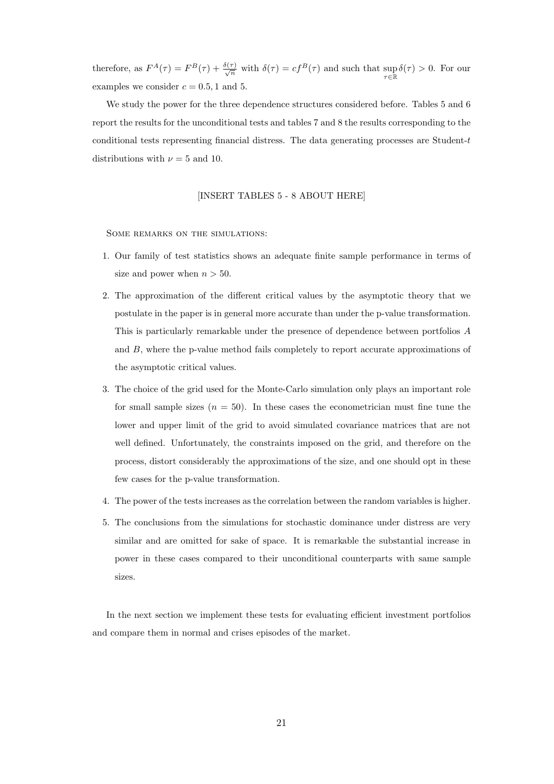therefore, as  $F^{A}(\tau) = F^{B}(\tau) + \frac{\delta(\tau)}{\sqrt{n}}$  with  $\delta(\tau) = cf^{B}(\tau)$  and such that  $\sup_{\tau \in \mathbb{R}} \delta(\tau) > 0$ . For our examples we consider  $c = 0.5, 1$  and 5.

We study the power for the three dependence structures considered before. Tables 5 and 6 report the results for the unconditional tests and tables 7 and 8 the results corresponding to the conditional tests representing financial distress. The data generating processes are Student-t distributions with  $\nu = 5$  and 10.

[INSERT TABLES 5 - 8 ABOUT HERE]

Some remarks on the simulations:

- 1. Our family of test statistics shows an adequate finite sample performance in terms of size and power when  $n > 50$ .
- 2. The approximation of the different critical values by the asymptotic theory that we postulate in the paper is in general more accurate than under the p-value transformation. This is particularly remarkable under the presence of dependence between portfolios A and B, where the p-value method fails completely to report accurate approximations of the asymptotic critical values.
- 3. The choice of the grid used for the Monte-Carlo simulation only plays an important role for small sample sizes  $(n = 50)$ . In these cases the econometrician must fine tune the lower and upper limit of the grid to avoid simulated covariance matrices that are not well defined. Unfortunately, the constraints imposed on the grid, and therefore on the process, distort considerably the approximations of the size, and one should opt in these few cases for the p-value transformation.
- 4. The power of the tests increases as the correlation between the random variables is higher.
- 5. The conclusions from the simulations for stochastic dominance under distress are very similar and are omitted for sake of space. It is remarkable the substantial increase in power in these cases compared to their unconditional counterparts with same sample sizes.

In the next section we implement these tests for evaluating efficient investment portfolios and compare them in normal and crises episodes of the market.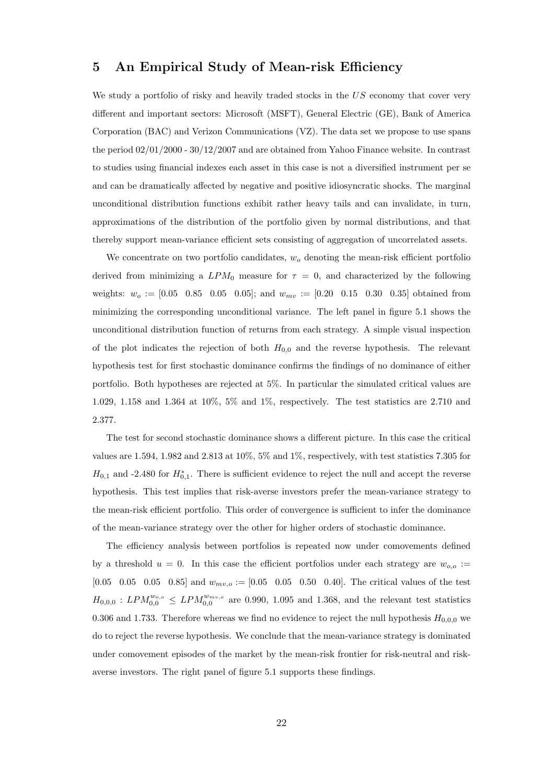## 5 An Empirical Study of Mean-risk Efficiency

We study a portfolio of risky and heavily traded stocks in the US economy that cover very different and important sectors: Microsoft (MSFT), General Electric (GE), Bank of America Corporation (BAC) and Verizon Communications (VZ). The data set we propose to use spans the period 02/01/2000 - 30/12/2007 and are obtained from Yahoo Finance website. In contrast to studies using financial indexes each asset in this case is not a diversified instrument per se and can be dramatically affected by negative and positive idiosyncratic shocks. The marginal unconditional distribution functions exhibit rather heavy tails and can invalidate, in turn, approximations of the distribution of the portfolio given by normal distributions, and that thereby support mean-variance efficient sets consisting of aggregation of uncorrelated assets.

We concentrate on two portfolio candidates,  $w<sub>o</sub>$  denoting the mean-risk efficient portfolio derived from minimizing a  $LPM_0$  measure for  $\tau = 0$ , and characterized by the following weights:  $w_o := [0.05 \ 0.85 \ 0.05 \ 0.05]$ ; and  $w_{mv} := [0.20 \ 0.15 \ 0.30 \ 0.35]$  obtained from minimizing the corresponding unconditional variance. The left panel in figure 5.1 shows the unconditional distribution function of returns from each strategy. A simple visual inspection of the plot indicates the rejection of both  $H_{0,0}$  and the reverse hypothesis. The relevant hypothesis test for first stochastic dominance confirms the findings of no dominance of either portfolio. Both hypotheses are rejected at 5%. In particular the simulated critical values are 1.029, 1.158 and 1.364 at 10%, 5% and 1%, respectively. The test statistics are 2.710 and 2.377.

The test for second stochastic dominance shows a different picture. In this case the critical values are 1.594, 1.982 and 2.813 at 10%, 5% and 1%, respectively, with test statistics 7.305 for  $H_{0,1}$  and -2.480 for  $H_{0,1}^*$ . There is sufficient evidence to reject the null and accept the reverse hypothesis. This test implies that risk-averse investors prefer the mean-variance strategy to the mean-risk efficient portfolio. This order of convergence is sufficient to infer the dominance of the mean-variance strategy over the other for higher orders of stochastic dominance.

The efficiency analysis between portfolios is repeated now under comovements defined by a threshold  $u = 0$ . In this case the efficient portfolios under each strategy are  $w_{o,o}$  := [0.05 0.05 0.05 0.85] and  $w_{mv,o} :=$  [0.05 0.05 0.50 0.40]. The critical values of the test  $H_{0,0,0}$ :  $LPM_{0,0}^{w_{o,o}} \leq LPM_{0,0}^{w_{mv,o}}$  are 0.990, 1.095 and 1.368, and the relevant test statistics 0.306 and 1.733. Therefore whereas we find no evidence to reject the null hypothesis  $H_{0,0,0}$  we do to reject the reverse hypothesis. We conclude that the mean-variance strategy is dominated under comovement episodes of the market by the mean-risk frontier for risk-neutral and riskaverse investors. The right panel of figure 5.1 supports these findings.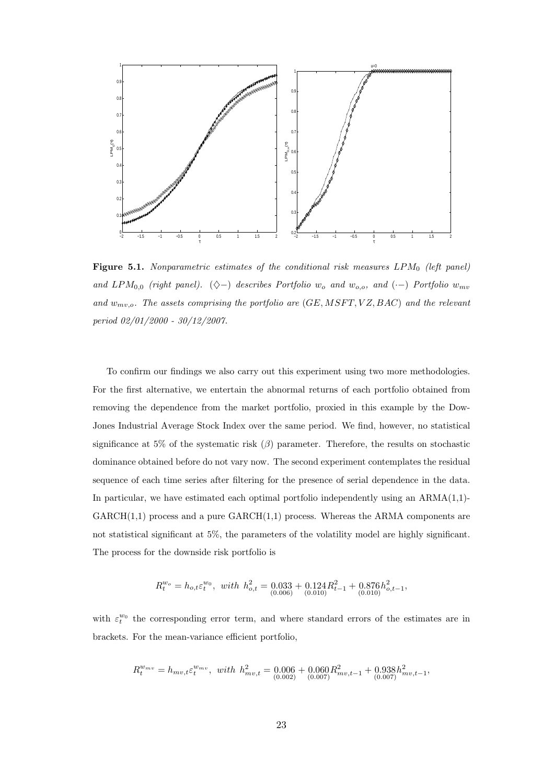

Figure 5.1. Nonparametric estimates of the conditional risk measures  $LPM_0$  (left panel) and LPM<sub>0,0</sub> (right panel). ( $\diamond$ -) describes Portfolio w<sub>o</sub> and w<sub>o,o</sub>, and (·-) Portfolio w<sub>mv</sub> and  $w_{mv,o}$ . The assets comprising the portfolio are  $(GE, MSFT, VZ, BAC)$  and the relevant period 02/01/2000 - 30/12/2007.

To confirm our findings we also carry out this experiment using two more methodologies. For the first alternative, we entertain the abnormal returns of each portfolio obtained from removing the dependence from the market portfolio, proxied in this example by the Dow-Jones Industrial Average Stock Index over the same period. We find, however, no statistical significance at 5% of the systematic risk  $(\beta)$  parameter. Therefore, the results on stochastic dominance obtained before do not vary now. The second experiment contemplates the residual sequence of each time series after filtering for the presence of serial dependence in the data. In particular, we have estimated each optimal portfolio independently using an  $ARMA(1,1)$ - $GARCH(1,1)$  process and a pure  $GARCH(1,1)$  process. Whereas the ARMA components are not statistical significant at 5%, the parameters of the volatility model are highly significant. The process for the downside risk portfolio is

$$
R_t^{w_o} = h_{o,t} \varepsilon_t^{w_0}, \quad with \quad h_{o,t}^2 = \underbrace{0.033}_{(0.006)} + \underbrace{0.124R_{t-1}^2}_{(0.010)} + \underbrace{0.876h_{o,t-1}^2}_{(0.010)},
$$

with  $\varepsilon_t^{w_0}$  the corresponding error term, and where standard errors of the estimates are in brackets. For the mean-variance efficient portfolio,

$$
R_t^{w_{mv}} = h_{mv,t} \varepsilon_t^{w_{mv}}, \quad with \quad h_{mv,t}^2 = 0.006 + 0.060 R_{mv,t-1}^2 + 0.938 h_{mv,t-1}^2,
$$
  

$$
(0.007)^{(0.007)}
$$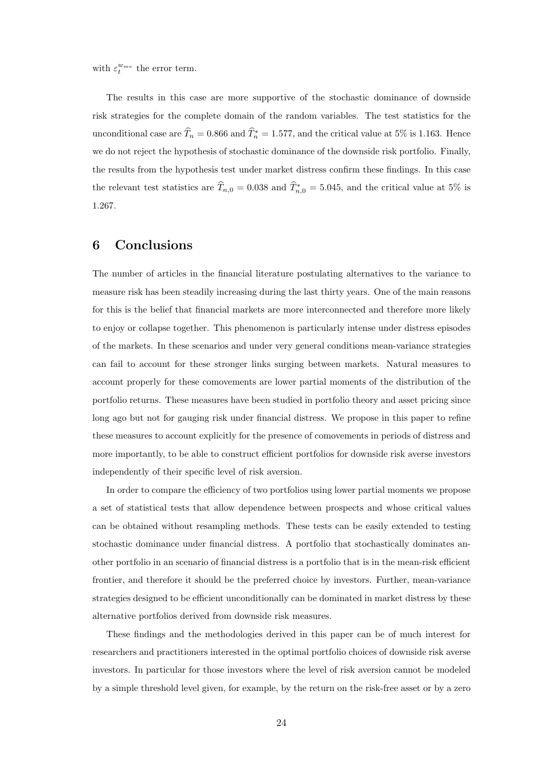with  $\varepsilon_t^{w_{mv}}$  the error term.

The results in this case are more supportive of the stochastic dominance of downside risk strategies for the complete domain of the random variables. The test statistics for the unconditional case are  $\widehat{T}_n = 0.866$  and  $\widehat{T}_n^* = 1.577$ , and the critical value at 5% is 1.163. Hence we do not reject the hypothesis of stochastic dominance of the downside risk portfolio. Finally, the results from the hypothesis test under market distress confirm these findings. In this case the relevant test statistics are  $\widehat{T}_{n,0} = 0.038$  and  $\widehat{T}_{n,0}^* = 5.045$ , and the critical value at 5% is 1.267.

## 6 Conclusions

The number of articles in the financial literature postulating alternatives to the variance to measure risk has been steadily increasing during the last thirty years. One of the main reasons for this is the belief that financial markets are more interconnected and therefore more likely to enjoy or collapse together. This phenomenon is particularly intense under distress episodes of the markets. In these scenarios and under very general conditions mean-variance strategies can fail to account for these stronger links surging between markets. Natural measures to account properly for these comovements are lower partial moments of the distribution of the portfolio returns. These measures have been studied in portfolio theory and asset pricing since long ago but not for gauging risk under financial distress. We propose in this paper to refine these measures to account explicitly for the presence of comovements in periods of distress and more importantly, to be able to construct efficient portfolios for downside risk averse investors independently of their specific level of risk aversion.

In order to compare the efficiency of two portfolios using lower partial moments we propose a set of statistical tests that allow dependence between prospects and whose critical values can be obtained without resampling methods. These tests can be easily extended to testing stochastic dominance under financial distress. A portfolio that stochastically dominates another portfolio in an scenario of financial distress is a portfolio that is in the mean-risk efficient frontier, and therefore it should be the preferred choice by investors. Further, mean-variance strategies designed to be efficient unconditionally can be dominated in market distress by these alternative portfolios derived from downside risk measures.

These findings and the methodologies derived in this paper can be of much interest for researchers and practitioners interested in the optimal portfolio choices of downside risk averse investors. In particular for those investors where the level of risk aversion cannot be modeled by a simple threshold level given, for example, by the return on the risk-free asset or by a zero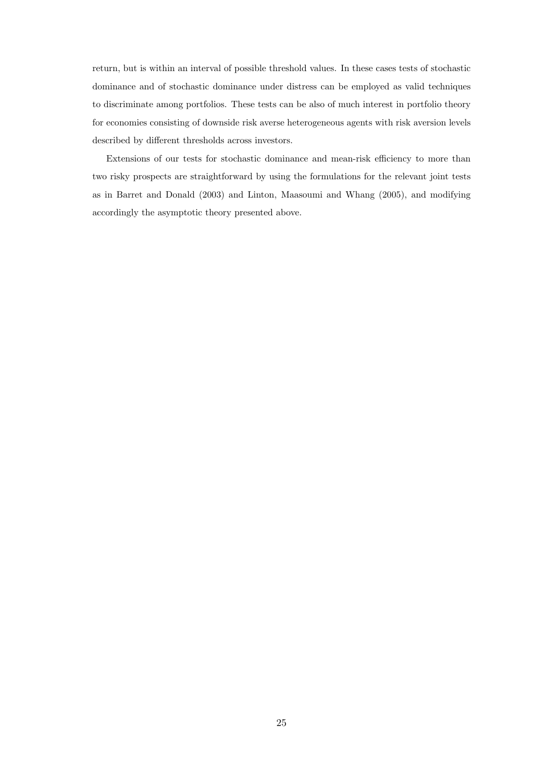return, but is within an interval of possible threshold values. In these cases tests of stochastic dominance and of stochastic dominance under distress can be employed as valid techniques to discriminate among portfolios. These tests can be also of much interest in portfolio theory for economies consisting of downside risk averse heterogeneous agents with risk aversion levels described by different thresholds across investors.

Extensions of our tests for stochastic dominance and mean-risk efficiency to more than two risky prospects are straightforward by using the formulations for the relevant joint tests as in Barret and Donald (2003) and Linton, Maasoumi and Whang (2005), and modifying accordingly the asymptotic theory presented above.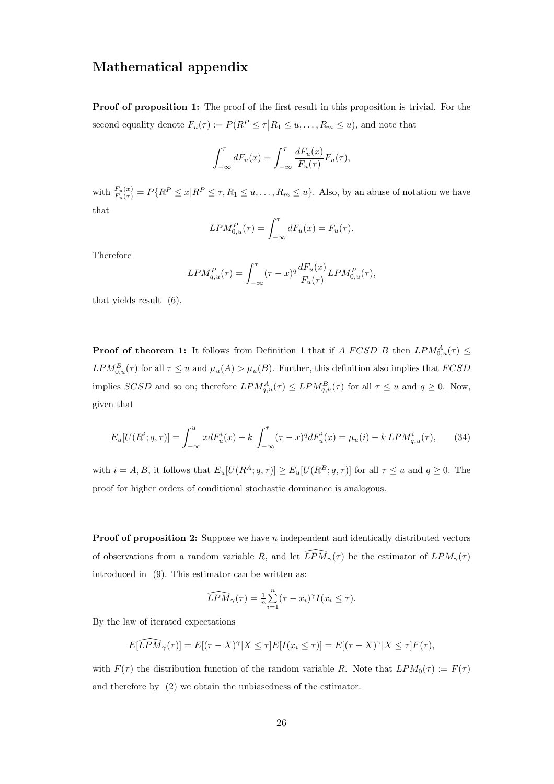## Mathematical appendix

**Proof of proposition 1:** The proof of the first result in this proposition is trivial. For the second equality denote  $F_u(\tau) := P(R^P \leq \tau | R_1 \leq u, \ldots, R_m \leq u)$ , and note that

$$
\int_{-\infty}^{\tau} dF_u(x) = \int_{-\infty}^{\tau} \frac{dF_u(x)}{F_u(\tau)} F_u(\tau),
$$

with  $\frac{F_u(x)}{F_u(\tau)} = P\{R^P \le x | R^P \le \tau, R_1 \le u, \ldots, R_m \le u\}$ . Also, by an abuse of notation we have that

$$
LPM_{0,u}^P(\tau) = \int_{-\infty}^{\tau} dF_u(x) = F_u(\tau).
$$

Therefore

$$
LPM_{q,u}^P(\tau) = \int_{-\infty}^{\tau} (\tau - x)^q \frac{dF_u(x)}{F_u(\tau)} LPM_{0,u}^P(\tau),
$$

that yields result (6).

**Proof of theorem 1:** It follows from Definition 1 that if A FCSD B then  $LPM_{0,u}^A(\tau) \leq$  $LPM_{0,u}^B(\tau)$  for all  $\tau \leq u$  and  $\mu_u(A) > \mu_u(B)$ . Further, this definition also implies that  $FCSD$ implies SCSD and so on; therefore  $LPM_{q,u}^A(\tau) \leq LPM_{q,u}^B(\tau)$  for all  $\tau \leq u$  and  $q \geq 0$ . Now, given that

$$
E_u[U(R^i; q, \tau)] = \int_{-\infty}^u x dF_u^i(x) - k \int_{-\infty}^\tau (\tau - x)^q dF_u^i(x) = \mu_u(i) - k \, LPM_{q,u}^i(\tau), \tag{34}
$$

with  $i = A, B$ , it follows that  $E_u[U(R^A; q, \tau)] \ge E_u[U(R^B; q, \tau)]$  for all  $\tau \le u$  and  $q \ge 0$ . The proof for higher orders of conditional stochastic dominance is analogous.

**Proof of proposition 2:** Suppose we have *n* independent and identically distributed vectors of observations from a random variable R, and let  $\widehat{LPM}_{\gamma}(\tau)$  be the estimator of  $LPM_{\gamma}(\tau)$ introduced in (9). This estimator can be written as:

$$
\widehat{LPM}_{\gamma}(\tau) = \frac{1}{n} \sum_{i=1}^{n} (\tau - x_i)^{\gamma} I(x_i \leq \tau).
$$

By the law of iterated expectations

$$
E[\widehat{LPM}_{\gamma}(\tau)] = E[(\tau - X)^{\gamma}|X \leq \tau]E[I(x_i \leq \tau)] = E[(\tau - X)^{\gamma}|X \leq \tau]F(\tau),
$$

with  $F(\tau)$  the distribution function of the random variable R. Note that  $LPM_0(\tau) := F(\tau)$ and therefore by (2) we obtain the unbiasedness of the estimator.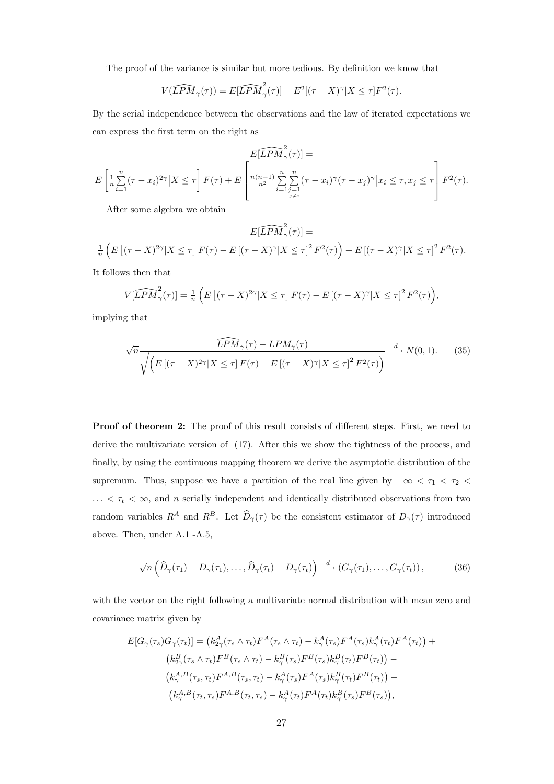The proof of the variance is similar but more tedious. By definition we know that

$$
V(\widehat{LPM}_{\gamma}(\tau)) = E[\widehat{LPM}_{\gamma}^{2}(\tau)] - E^{2}[(\tau - X)^{\gamma}|X \leq \tau]F^{2}(\tau).
$$

By the serial independence between the observations and the law of iterated expectations we can express the first term on the right as

$$
E\left[\frac{1}{n}\sum_{i=1}^n(\tau-x_i)^{2\gamma}\big|X\leq\tau\right]F(\tau)+E\left[\frac{E[\widehat{LPM}_{\gamma}^2(\tau)]}{\sum_{i=1}^n\sum_{j=1}^n(\tau-x_i)^{\gamma}(\tau-x_j)^{\gamma}}\big|x_i\leq\tau,x_j\leq\tau\right]F^2(\tau).
$$

After some algebra we obtain

$$
E[\widehat{LPM}_{\gamma}^{2}(\tau)] =
$$
  

$$
\frac{1}{n}\left(E\left[(\tau - X)^{2\gamma}|X \leq \tau\right]F(\tau) - E\left[(\tau - X)^{\gamma}|X \leq \tau\right]^{2}F^{2}(\tau)\right) + E\left[(\tau - X)^{\gamma}|X \leq \tau\right]^{2}F^{2}(\tau).
$$

It follows then that

$$
V[\widehat{LPM}_{\gamma}^2(\tau)] = \frac{1}{n} \left( E\left[ (\tau - X)^{2\gamma} | X \le \tau \right] F(\tau) - E\left[ (\tau - X)^{\gamma} | X \le \tau \right]^2 F^2(\tau) \right),
$$

implying that

$$
\sqrt{n} \frac{\widehat{LPM}_{\gamma}(\tau) - LPM_{\gamma}(\tau)}{\sqrt{\left(E\left[(\tau - X)^{2\gamma}|X \le \tau\right]F(\tau) - E\left[(\tau - X)^{\gamma}|X \le \tau\right]^{2}F^{2}(\tau)\right)}} \xrightarrow{d} N(0, 1). \tag{35}
$$

Proof of theorem 2: The proof of this result consists of different steps. First, we need to derive the multivariate version of (17). After this we show the tightness of the process, and finally, by using the continuous mapping theorem we derive the asymptotic distribution of the supremum. Thus, suppose we have a partition of the real line given by  $-\infty < \tau_1 < \tau_2 <$  $\ldots < \tau_t < \infty$ , and n serially independent and identically distributed observations from two random variables  $R^A$  and  $R^B$ . Let  $\widehat{D}_{\gamma}(\tau)$  be the consistent estimator of  $D_{\gamma}(\tau)$  introduced above. Then, under A.1 -A.5,

$$
\sqrt{n}\left(\widehat{D}_{\gamma}(\tau_1)-D_{\gamma}(\tau_1),\ldots,\widehat{D}_{\gamma}(\tau_t)-D_{\gamma}(\tau_t)\right)\stackrel{d}{\longrightarrow}\left(G_{\gamma}(\tau_1),\ldots,G_{\gamma}(\tau_t)\right),\tag{36}
$$

with the vector on the right following a multivariate normal distribution with mean zero and covariance matrix given by

$$
E[G_{\gamma}(\tau_s)G_{\gamma}(\tau_t)] = (k_{2\gamma}^A(\tau_s \wedge \tau_t)F^A(\tau_s \wedge \tau_t) - k_{\gamma}^A(\tau_s)F^A(\tau_s)k_{\gamma}^A(\tau_t)F^A(\tau_t)) +
$$
  
\n
$$
(k_{2\gamma}^B(\tau_s \wedge \tau_t)F^B(\tau_s \wedge \tau_t) - k_{\gamma}^B(\tau_s)F^B(\tau_s)k_{\gamma}^B(\tau_t)F^B(\tau_t)) -
$$
  
\n
$$
(k_{\gamma}^{A,B}(\tau_s, \tau_t)F^{A,B}(\tau_s, \tau_t) - k_{\gamma}^A(\tau_s)F^A(\tau_s)k_{\gamma}^B(\tau_t)F^B(\tau_t)) -
$$
  
\n
$$
(k_{\gamma}^{A,B}(\tau_t, \tau_s)F^{A,B}(\tau_t, \tau_s) - k_{\gamma}^A(\tau_t)F^A(\tau_t)k_{\gamma}^B(\tau_s)F^B(\tau_s)),
$$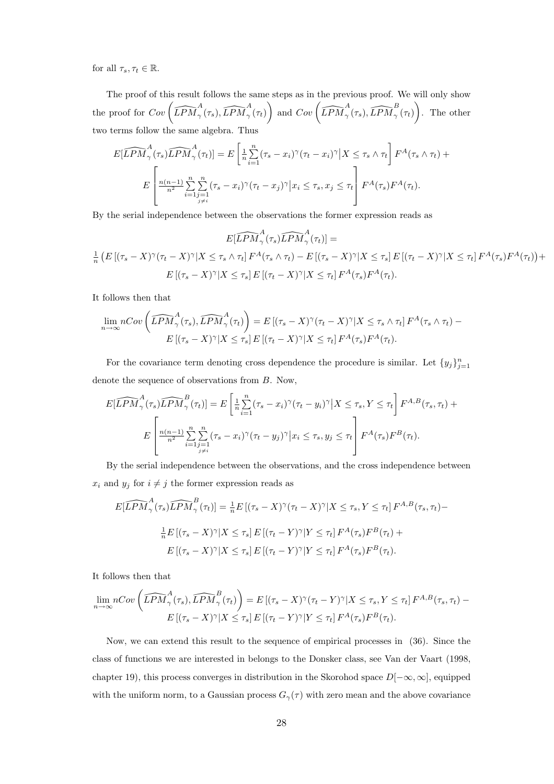for all  $\tau_s, \tau_t \in \mathbb{R}$ .

The proof of this result follows the same steps as in the previous proof. We will only show The proof for  $Cov\left(\widehat{LPM}^A_\gamma(\tau_s), \widehat{LPM}^A_\gamma(\tau_t)\right)$  and  $Cov\left(\widehat{LPM}^A_\gamma(\tau_s), \widehat{LPM}^B_\gamma(\tau_t)\right)$ . The other two terms follow the same algebra. Thus

$$
E[\widehat{LPM}_{\gamma}^{A}(\tau_{s})\widehat{LPM}_{\gamma}^{A}(\tau_{t})] = E\left[\frac{1}{n}\sum_{i=1}^{n}(\tau_{s}-x_{i})^{\gamma}(\tau_{t}-x_{i})^{\gamma}\big|X\leq\tau_{s}\wedge\tau_{t}\right]F^{A}(\tau_{s}\wedge\tau_{t}) +
$$

$$
E\left[\frac{n(n-1)}{n^{2}}\sum_{i=1}^{n}\sum_{\substack{j=1 \ j \neq i}}^{n}(\tau_{s}-x_{i})^{\gamma}(\tau_{t}-x_{j})^{\gamma}\big|x_{i}\leq\tau_{s}, x_{j}\leq\tau_{t}\right]F^{A}(\tau_{s})F^{A}(\tau_{t}).
$$

By the serial independence between the observations the former expression reads as

$$
E[\widehat{LPM}_{\gamma}^{A}(\tau_{s})\widehat{LPM}_{\gamma}^{A}(\tau_{t})] =
$$
  

$$
\frac{1}{n} \left( E\left[ (\tau_{s} - X)^{\gamma}(\tau_{t} - X)^{\gamma} | X \leq \tau_{s} \wedge \tau_{t} \right] F^{A}(\tau_{s} \wedge \tau_{t}) - E\left[ (\tau_{s} - X)^{\gamma} | X \leq \tau_{s} \right] E\left[ (\tau_{t} - X)^{\gamma} | X \leq \tau_{t} \right] F^{A}(\tau_{s}) F^{A}(\tau_{t}) \right) +
$$
  

$$
E\left[ (\tau_{s} - X)^{\gamma} | X \leq \tau_{s} \right] E\left[ (\tau_{t} - X)^{\gamma} | X \leq \tau_{t} \right] F^{A}(\tau_{s}) F^{A}(\tau_{t}).
$$

It follows then that

$$
\lim_{n \to \infty} nCov\left(\widehat{LPM}^A_{\gamma}(\tau_s), \widehat{LPM}^A_{\gamma}(\tau_t)\right) = E\left[(\tau_s - X)^{\gamma}(\tau_t - X)^{\gamma}|X \leq \tau_s \wedge \tau_t\right]F^A(\tau_s \wedge \tau_t) - E\left[(\tau_s - X)^{\gamma}|X \leq \tau_s\right]E\left[(\tau_t - X)^{\gamma}|X \leq \tau_t\right]F^A(\tau_s)F^A(\tau_t).
$$

For the covariance term denoting cross dependence the procedure is similar. Let  $\{y_j\}_{j=1}^n$ denote the sequence of observations from B. Now,

$$
E[\widehat{LPM}_{\gamma}^{A}(\tau_{s})\widehat{LPM}_{\gamma}^{B}(\tau_{t})] = E\left[\frac{1}{n}\sum_{i=1}^{n}(\tau_{s}-x_{i})^{\gamma}(\tau_{t}-y_{i})^{\gamma}\big|X\leq\tau_{s}, Y\leq\tau_{t}\right]F^{A,B}(\tau_{s},\tau_{t}) + E\left[\frac{n(n-1)}{n^{2}}\sum_{i=1}^{n}\sum_{\substack{j=1 \ j\neq i}}^{n}(\tau_{s}-x_{i})^{\gamma}(\tau_{t}-y_{j})^{\gamma}\big|x_{i}\leq\tau_{s}, y_{j}\leq\tau_{t}\right]F^{A}(\tau_{s})F^{B}(\tau_{t}).
$$

By the serial independence between the observations, and the cross independence between  $x_i$  and  $y_j$  for  $i \neq j$  the former expression reads as

$$
E[\widehat{LPM}_{\gamma}^{A}(\tau_{s})\widehat{LPM}_{\gamma}^{B}(\tau_{t})] = \frac{1}{n}E\left[ (\tau_{s} - X)^{\gamma}(\tau_{t} - X)^{\gamma} | X \leq \tau_{s}, Y \leq \tau_{t} \right]F^{A,B}(\tau_{s}, \tau_{t}) -
$$
  

$$
\frac{1}{n}E\left[ (\tau_{s} - X)^{\gamma} | X \leq \tau_{s} \right]E\left[ (\tau_{t} - Y)^{\gamma} | Y \leq \tau_{t} \right]F^{A}(\tau_{s})F^{B}(\tau_{t}) +
$$
  

$$
E\left[ (\tau_{s} - X)^{\gamma} | X \leq \tau_{s} \right]E\left[ (\tau_{t} - Y)^{\gamma} | Y \leq \tau_{t} \right]F^{A}(\tau_{s})F^{B}(\tau_{t}).
$$

It follows then that

$$
\lim_{n \to \infty} nCov\left(\widehat{LPM}^A_\gamma(\tau_s), \widehat{LPM}^B_\gamma(\tau_t)\right) = E\left[(\tau_s - X)^\gamma(\tau_t - Y)^\gamma | X \le \tau_s, Y \le \tau_t\right] F^{A,B}(\tau_s, \tau_t) - E\left[(\tau_s - X)^\gamma | X \le \tau_s\right] E\left[(\tau_t - Y)^\gamma | Y \le \tau_t\right] F^A(\tau_s) F^B(\tau_t).
$$

Now, we can extend this result to the sequence of empirical processes in (36). Since the class of functions we are interested in belongs to the Donsker class, see Van der Vaart (1998, chapter 19), this process converges in distribution in the Skorohod space  $D[-\infty, \infty]$ , equipped with the uniform norm, to a Gaussian process  $G_{\gamma}(\tau)$  with zero mean and the above covariance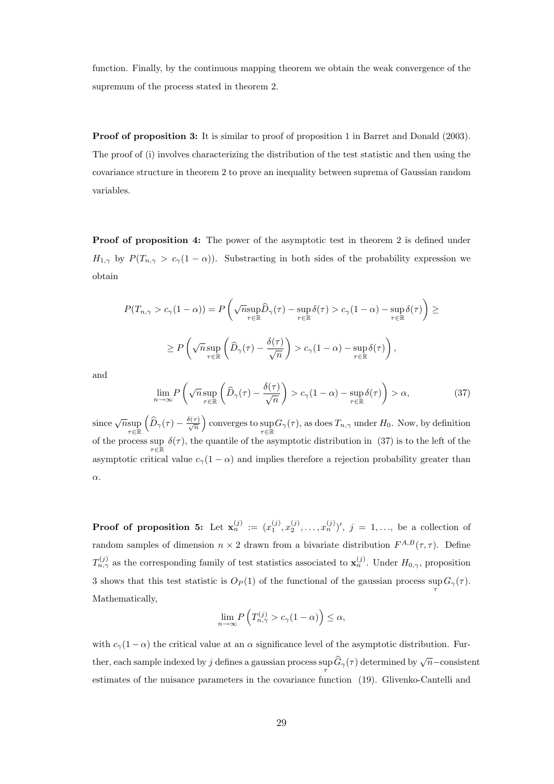function. Finally, by the continuous mapping theorem we obtain the weak convergence of the supremum of the process stated in theorem 2.

**Proof of proposition 3:** It is similar to proof of proposition 1 in Barret and Donald (2003). The proof of (i) involves characterizing the distribution of the test statistic and then using the covariance structure in theorem 2 to prove an inequality between suprema of Gaussian random variables.

**Proof of proposition 4:** The power of the asymptotic test in theorem 2 is defined under  $H_{1,\gamma}$  by  $P(T_{n,\gamma} > c_{\gamma}(1-\alpha))$ . Substracting in both sides of the probability expression we obtain

$$
P(T_{n,\gamma} > c_{\gamma}(1-\alpha)) = P\left(\sqrt{n} \sup_{\tau \in \mathbb{R}} \widehat{D}_{\gamma}(\tau) - \sup_{\tau \in \mathbb{R}} \delta(\tau) > c_{\gamma}(1-\alpha) - \sup_{\tau \in \mathbb{R}} \delta(\tau)\right) \ge
$$
  
 
$$
\ge P\left(\sqrt{n} \sup_{\tau \in \mathbb{R}} \left(\widehat{D}_{\gamma}(\tau) - \frac{\delta(\tau)}{\sqrt{n}}\right) > c_{\gamma}(1-\alpha) - \sup_{\tau \in \mathbb{R}} \delta(\tau)\right),
$$

and

$$
\lim_{n \to \infty} P\left(\sqrt{n} \sup_{\tau \in \mathbb{R}} \left(\widehat{D}_{\gamma}(\tau) - \frac{\delta(\tau)}{\sqrt{n}}\right) > c_{\gamma}(1 - \alpha) - \sup_{\tau \in \mathbb{R}} \delta(\tau)\right) > \alpha,\tag{37}
$$

since  $\sqrt{n}$ sup<br> $\tau \in \mathbb{R}$  $\overline{a}$  $\widehat{D}_{\gamma}(\tau)-\frac{\delta(\tau)}{\sqrt{n}}$ ´ converges to  $\sup_{\tau \in \mathbb{R}} G_{\gamma}(\tau)$ , as does  $T_{n,\gamma}$  under  $H_0$ . Now, by definition of the process sup  $\delta(\tau)$ , the quantile of the asymptotic distribution in (37) is to the left of the asymptotic critical value  $c_\gamma(1-\alpha)$  and implies therefore a rejection probability greater than α.

**Proof of proposition 5:** Let  $\mathbf{x}_n^{(j)} := (x_1^{(j)}, x_2^{(j)}, \ldots, x_n^{(j)})'$ ,  $j = 1, \ldots$ , be a collection of random samples of dimension  $n \times 2$  drawn from a bivariate distribution  $F^{A,B}(\tau,\tau)$ . Define  $T_{n,\gamma}^{(j)}$  as the corresponding family of test statistics associated to  $\mathbf{x}_n^{(j)}$ . Under  $H_{0,\gamma}$ , proposition 3 shows that this test statistic is  $O_P(1)$  of the functional of the gaussian process sup  $G_\gamma(\tau)$ . Mathematically,

$$
\lim_{n \to \infty} P\left(T_{n,\gamma}^{(j)} > c_{\gamma}(1-\alpha)\right) \le \alpha,
$$

with  $c_{\gamma}(1-\alpha)$  the critical value at an  $\alpha$  significance level of the asymptotic distribution. Further, each sample indexed by j defines a gaussian process sup  $\widehat{G}_{\gamma}(\tau)$  determined by  $\sqrt{n}$ -consistent estimates of the nuisance parameters in the covariance function (19). Glivenko-Cantelli and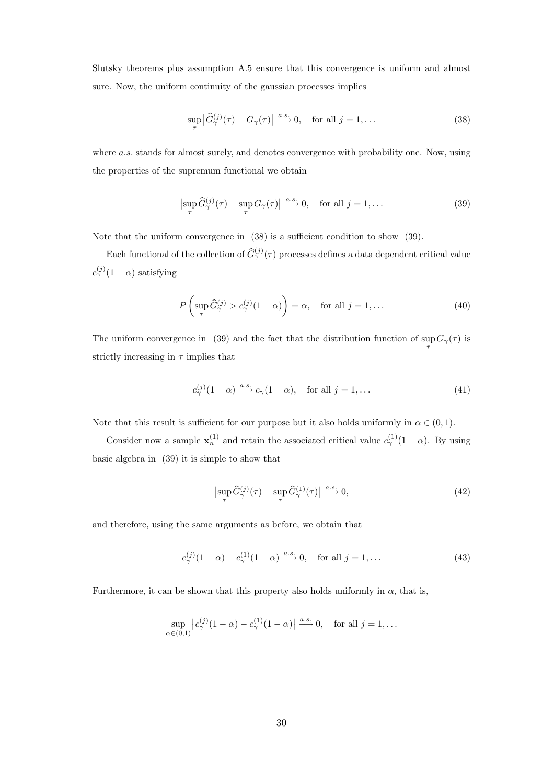Slutsky theorems plus assumption A.5 ensure that this convergence is uniform and almost sure. Now, the uniform continuity of the gaussian processes implies

$$
\sup_{\tau} \left| \widehat{G}_{\gamma}^{(j)}(\tau) - G_{\gamma}(\tau) \right| \stackrel{a.s.}{\longrightarrow} 0, \quad \text{for all } j = 1, \dots \tag{38}
$$

where  $a.s.$  stands for almost surely, and denotes convergence with probability one. Now, using the properties of the supremum functional we obtain

$$
\left|\sup_{\tau} \widehat{G}_{\gamma}^{(j)}(\tau) - \sup_{\tau} G_{\gamma}(\tau)\right| \xrightarrow{a.s.} 0, \quad \text{for all } j = 1, \dots
$$
 (39)

Note that the uniform convergence in (38) is a sufficient condition to show (39).

Each functional of the collection of  $\widehat{G}_{\gamma}^{(j)}(\tau)$  processes defines a data dependent critical value  $c_{\gamma}^{(j)}(1-\alpha)$  satisfying

$$
P\left(\sup_{\tau} \widehat{G}_{\gamma}^{(j)} > c_{\gamma}^{(j)}(1-\alpha)\right) = \alpha, \quad \text{for all } j = 1, \dots
$$
 (40)

The uniform convergence in (39) and the fact that the distribution function of  $\sup G_{\gamma}(\tau)$  is τ strictly increasing in  $\tau$  implies that

$$
c_{\gamma}^{(j)}(1-\alpha) \xrightarrow{a.s.} c_{\gamma}(1-\alpha), \quad \text{for all } j=1,\dots
$$
 (41)

Note that this result is sufficient for our purpose but it also holds uniformly in  $\alpha \in (0,1)$ .

Consider now a sample  $\mathbf{x}_n^{(1)}$  and retain the associated critical value  $c_\gamma^{(1)}(1-\alpha)$ . By using basic algebra in (39) it is simple to show that

$$
\left|\sup_{\tau} \widehat{G}_{\gamma}^{(j)}(\tau) - \sup_{\tau} \widehat{G}_{\gamma}^{(1)}(\tau)\right| \xrightarrow{a.s.} 0,
$$
\n(42)

and therefore, using the same arguments as before, we obtain that

$$
c_{\gamma}^{(j)}(1-\alpha) - c_{\gamma}^{(1)}(1-\alpha) \xrightarrow{a.s.} 0, \quad \text{for all } j = 1, ... \tag{43}
$$

Furthermore, it can be shown that this property also holds uniformly in  $\alpha$ , that is,

$$
\sup_{\alpha \in (0,1)} |c_{\gamma}^{(j)}(1-\alpha) - c_{\gamma}^{(1)}(1-\alpha)| \stackrel{a.s.}{\longrightarrow} 0, \text{ for all } j = 1, \dots
$$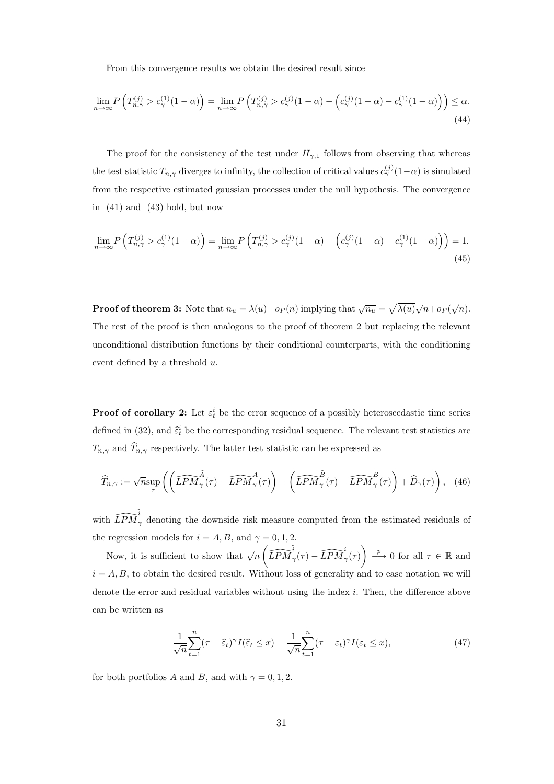From this convergence results we obtain the desired result since

$$
\lim_{n \to \infty} P\left(T_{n,\gamma}^{(j)} > c_{\gamma}^{(1)}(1-\alpha)\right) = \lim_{n \to \infty} P\left(T_{n,\gamma}^{(j)} > c_{\gamma}^{(j)}(1-\alpha) - \left(c_{\gamma}^{(j)}(1-\alpha) - c_{\gamma}^{(1)}(1-\alpha)\right)\right) \le \alpha.
$$
\n(44)

The proof for the consistency of the test under  $H_{\gamma,1}$  follows from observing that whereas the test statistic  $T_{n,\gamma}$  diverges to infinity, the collection of critical values  $c^{(j)}_{\gamma}(1-\alpha)$  is simulated from the respective estimated gaussian processes under the null hypothesis. The convergence in (41) and (43) hold, but now

$$
\lim_{n \to \infty} P\left(T_{n,\gamma}^{(j)} > c_{\gamma}^{(1)}(1-\alpha)\right) = \lim_{n \to \infty} P\left(T_{n,\gamma}^{(j)} > c_{\gamma}^{(j)}(1-\alpha) - \left(c_{\gamma}^{(j)}(1-\alpha) - c_{\gamma}^{(1)}(1-\alpha)\right)\right) = 1.
$$
\n(45)

**Proof of theorem 3:** Note that  $n_u = \lambda(u) + op(n)$  implying that  $\sqrt{n_u}$ p  $\overline{\lambda(u)}\sqrt{n}+o_P(\sqrt{n}).$ The rest of the proof is then analogous to the proof of theorem 2 but replacing the relevant unconditional distribution functions by their conditional counterparts, with the conditioning event defined by a threshold u.

**Proof of corollary 2:** Let  $\varepsilon_t^i$  be the error sequence of a possibly heteroscedastic time series defined in (32), and  $\hat{\epsilon}_t^i$  be the corresponding residual sequence. The relevant test statistics are  $T_{n,\gamma}$  and  $\widehat{T}_{n,\gamma}$  respectively. The latter test statistic can be expressed as

$$
\widehat{T}_{n,\gamma} := \sqrt{n} \sup_{\tau} \left( \left( \widehat{LPM}^{\widehat{A}}_{\gamma}(\tau) - \widehat{LPM}^A_{\gamma}(\tau) \right) - \left( \widehat{LPM}^{\widehat{B}}_{\gamma}(\tau) - \widehat{LPM}^B_{\gamma}(\tau) \right) + \widehat{D}_{\gamma}(\tau) \right), \quad (46)
$$

with  $\widehat{LPM}^{\hat{i}}_{\gamma}$  denoting the downside risk measure computed from the estimated residuals of the regression models for  $i = A, B$ , and  $\gamma = 0, 1, 2$ .

Now, it is sufficient to show that  $\sqrt{n}$  $\begin{aligned} & \Big(\widehat{LPM}^{\widehat{i}}_{\gamma}(\tau)-\widehat{LPM}^i_{\gamma}(\tau)\Big), \end{aligned}$  $\Big) \stackrel{p}{\longrightarrow} 0$  for all  $\tau \in \mathbb{R}$  and  $i = A, B$ , to obtain the desired result. Without loss of generality and to ease notation we will denote the error and residual variables without using the index i. Then, the difference above can be written as

$$
\frac{1}{\sqrt{n}} \sum_{t=1}^{n} (\tau - \widehat{\varepsilon}_t)^{\gamma} I(\widehat{\varepsilon}_t \le x) - \frac{1}{\sqrt{n}} \sum_{t=1}^{n} (\tau - \varepsilon_t)^{\gamma} I(\varepsilon_t \le x), \tag{47}
$$

for both portfolios A and B, and with  $\gamma = 0, 1, 2$ .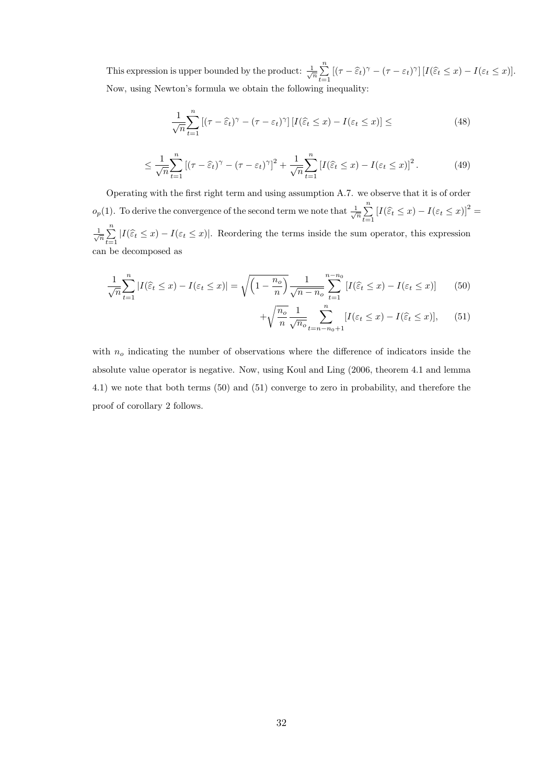This expression is upper bounded by the product:  $\frac{1}{\sqrt{n}}$  $\frac{n}{2}$  $\sum_{t=1} \left[ (\tau - \widehat{\varepsilon}_t)^{\gamma} - (\tau - \varepsilon_t)^{\gamma} \right] [I(\widehat{\varepsilon}_t \leq x) - I(\varepsilon_t \leq x)].$ Now, using Newton's formula we obtain the following inequality:

$$
\frac{1}{\sqrt{n}} \sum_{t=1}^{n} \left[ (\tau - \widehat{\varepsilon}_t)^{\gamma} - (\tau - \varepsilon_t)^{\gamma} \right] \left[ I(\widehat{\varepsilon}_t \le x) - I(\varepsilon_t \le x) \right] \le \tag{48}
$$

$$
\leq \frac{1}{\sqrt{n}} \sum_{t=1}^{n} \left[ (\tau - \widehat{\varepsilon}_t)^{\gamma} - (\tau - \varepsilon_t)^{\gamma} \right]^2 + \frac{1}{\sqrt{n}} \sum_{t=1}^{n} \left[ I(\widehat{\varepsilon}_t \leq x) - I(\varepsilon_t \leq x) \right]^2. \tag{49}
$$

Operating with the first right term and using assumption A.7. we observe that it is of order  $o_p(1)$ . To derive the convergence of the second term we note that  $\frac{1}{\sqrt{n}}$  $\frac{n}{2}$  $\sum_{t=1}^{n} [I(\widehat{\varepsilon}_t \leq x) - I(\varepsilon_t \leq x)]^2 =$  $\frac{1}{\sqrt{n}}$  $\frac{n}{2}$  $\sum_{t=1} |I(\hat{\varepsilon}_t \leq x) - I(\varepsilon_t \leq x)|$ . Reordering the terms inside the sum operator, this expression can be decomposed as

$$
\frac{1}{\sqrt{n}} \sum_{t=1}^{n} |I(\hat{\varepsilon}_t \le x) - I(\varepsilon_t \le x)| = \sqrt{\left(1 - \frac{n_o}{n}\right)} \frac{1}{\sqrt{n - n_o}} \sum_{t=1}^{n - n_0} \left[ I(\hat{\varepsilon}_t \le x) - I(\varepsilon_t \le x) \right] \tag{50}
$$

$$
+\sqrt{\frac{n_o}{n}}\frac{1}{\sqrt{n_o}}\sum_{t=n-n_0+1}^{n} [I(\varepsilon_t \le x) - I(\widehat{\varepsilon}_t \le x)],\qquad(51)
$$

with  $n_o$  indicating the number of observations where the difference of indicators inside the absolute value operator is negative. Now, using Koul and Ling (2006, theorem 4.1 and lemma 4.1) we note that both terms (50) and (51) converge to zero in probability, and therefore the proof of corollary 2 follows.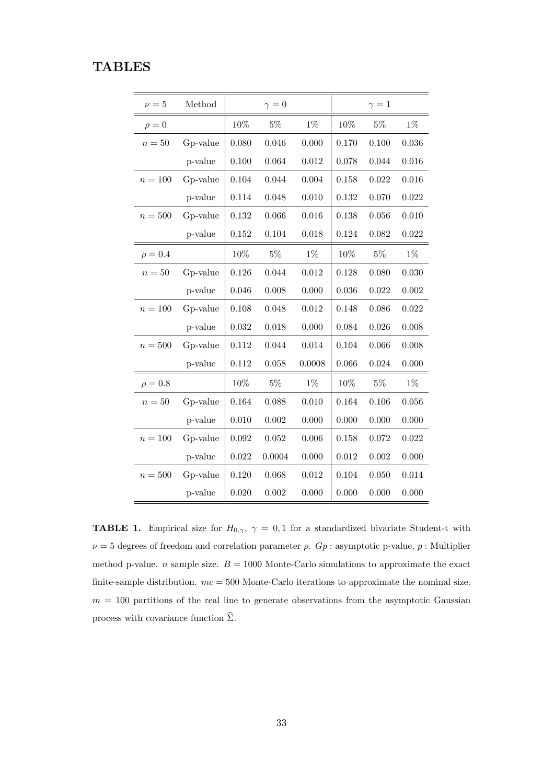## **TABLES**

| $\nu=5$      | Method   |        | $\gamma = 0$ |        |           | $\gamma=1$ |       |
|--------------|----------|--------|--------------|--------|-----------|------------|-------|
| $\rho = 0$   |          | 10%    | $5\%$        | $1\%$  | 10%       | $5\%$      | $1\%$ |
| $n=50$       | Gp-value | 0.080  | 0.046        | 0.000  | 0.170     | 0.100      | 0.036 |
|              | p-value  | 0.100  | 0.064        | 0.012  | 0.078     | 0.044      | 0.016 |
| $n=100\,$    | Gp-value | 0.104  | 0.044        | 0.004  | 0.158     | 0.022      | 0.016 |
|              | p-value  | 0.114  | 0.048        | 0.010  | 0.132     | 0.070      | 0.022 |
| $n=500$      | Gp-value | 0.132  | 0.066        | 0.016  | 0.138     | 0.056      | 0.010 |
|              | p-value  | 0.152  | 0.104        | 0.018  | 0.124     | 0.082      | 0.022 |
| $\rho = 0.4$ |          | $10\%$ | $5\%$        | $1\%$  | $10\%$    | $5\%$      | $1\%$ |
| $n=50$       | Gp-value | 0.126  | 0.044        | 0.012  | 0.128     | 0.080      | 0.030 |
|              | p-value  | 0.046  | 0.008        | 0.000  | 0.036     | 0.022      | 0.002 |
| $n=100$      | Gp-value | 0.108  | 0.048        | 0.012  | 0.148     | 0.086      | 0.022 |
|              | p-value  | 0.032  | 0.018        | 0.000  | 0.084     | 0.026      | 0.008 |
| $n=500$      | Gp-value | 0.112  | 0.044        | 0.014  | 0.104     | 0.066      | 0.008 |
|              | p-value  | 0.112  | 0.058        | 0.0008 | 0.066     | 0.024      | 0.000 |
| $\rho = 0.8$ |          | $10\%$ | $5\%$        | $1\%$  | $10\%$    | $5\%$      | $1\%$ |
| $n=50$       | Gp-value | 0.164  | 0.088        | 0.010  | 0.164     | 0.106      | 0.056 |
|              | p-value  | 0.010  | 0.002        | 0.000  | 0.000     | 0.000      | 0.000 |
| $n=100$      | Gp-value | 0.092  | 0.052        | 0.006  | 0.158     | 0.072      | 0.022 |
|              | p-value  | 0.022  | 0.0004       | 0.000  | 0.012     | 0.002      | 0.000 |
| $n=500\,$    | Gp-value | 0.120  | 0.068        | 0.012  | $0.104\,$ | 0.050      | 0.014 |
|              | p-value  | 0.020  | 0.002        | 0.000  | 0.000     | 0.000      | 0.000 |

**TABLE 1.** Empirical size for  $H_{0,\gamma}$ ,  $\gamma = 0,1$  for a standardized bivariate Student-t with  $\nu = 5$  degrees of freedom and correlation parameter  $\rho$ .  $Gp$ : asymptotic p-value,  $p$ : Multiplier method p-value. *n* sample size.  $B = 1000$  Monte-Carlo simulations to approximate the exact finite-sample distribution.  $mc = 500$  Monte-Carlo iterations to approximate the nominal size.  $m = 100$  partitions of the real line to generate observations from the asymptotic Gaussian process with covariance function  $\hat{\Sigma}$ .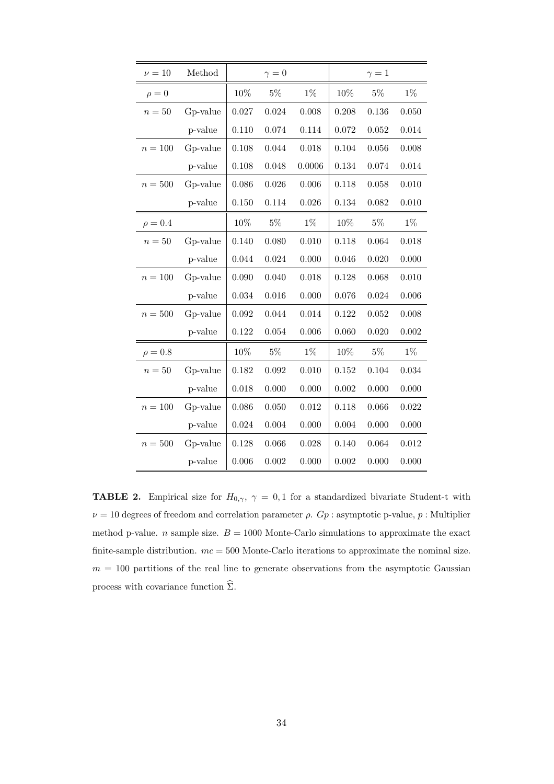| $\nu = 10$   | Method   |           | $\gamma = 0$ |        |        | $\gamma=1$ |       |
|--------------|----------|-----------|--------------|--------|--------|------------|-------|
| $\rho = 0$   |          | $10\%$    | $5\%$        | $1\%$  | $10\%$ | $5\%$      | $1\%$ |
| $n=50$       | Gp-value | 0.027     | 0.024        | 0.008  | 0.208  | 0.136      | 0.050 |
|              | p-value  | 0.110     | 0.074        | 0.114  | 0.072  | 0.052      | 0.014 |
| $n=100$      | Gp-value | 0.108     | 0.044        | 0.018  | 0.104  | 0.056      | 0.008 |
|              | p-value  | 0.108     | 0.048        | 0.0006 | 0.134  | 0.074      | 0.014 |
| $n=500$      | Gp-value | 0.086     | 0.026        | 0.006  | 0.118  | 0.058      | 0.010 |
|              | p-value  | 0.150     | 0.114        | 0.026  | 0.134  | 0.082      | 0.010 |
| $\rho = 0.4$ |          | 10%       | $5\%$        | $1\%$  | 10%    | $5\%$      | $1\%$ |
| $n=50$       | Gp-value | 0.140     | 0.080        | 0.010  | 0.118  | 0.064      | 0.018 |
|              | p-value  | 0.044     | 0.024        | 0.000  | 0.046  | 0.020      | 0.000 |
| $n=100$      | Gp-value | 0.090     | 0.040        | 0.018  | 0.128  | 0.068      | 0.010 |
|              | p-value  | 0.034     | 0.016        | 0.000  | 0.076  | 0.024      | 0.006 |
| $n=500$      | Gp-value | 0.092     | 0.044        | 0.014  | 0.122  | 0.052      | 0.008 |
|              | p-value  | $0.122\,$ | 0.054        | 0.006  | 0.060  | 0.020      | 0.002 |
| $\rho = 0.8$ |          | 10%       | $5\%$        | $1\%$  | 10%    | $5\%$      | $1\%$ |
| $n=50$       | Gp-value | 0.182     | 0.092        | 0.010  | 0.152  | 0.104      | 0.034 |
|              | p-value  | 0.018     | 0.000        | 0.000  | 0.002  | 0.000      | 0.000 |
| $n=100\,$    | Gp-value | 0.086     | 0.050        | 0.012  | 0.118  | 0.066      | 0.022 |
|              | p-value  | 0.024     | 0.004        | 0.000  | 0.004  | 0.000      | 0.000 |
| $n=500\,$    | Gp-value | 0.128     | 0.066        | 0.028  | 0.140  | 0.064      | 0.012 |
|              | p-value  | 0.006     | 0.002        | 0.000  | 0.002  | 0.000      | 0.000 |

**TABLE 2.** Empirical size for  $H_{0,\gamma}$ ,  $\gamma = 0,1$  for a standardized bivariate Student-t with  $\nu = 10$  degrees of freedom and correlation parameter  $\rho$ .  $Gp$ : asymptotic p-value,  $p$ : Multiplier method p-value. *n* sample size.  $B = 1000$  Monte-Carlo simulations to approximate the exact finite-sample distribution.  $mc = 500$  Monte-Carlo iterations to approximate the nominal size.  $m = 100$  partitions of the real line to generate observations from the asymptotic Gaussian process with covariance function  $\hat{\Sigma}$ .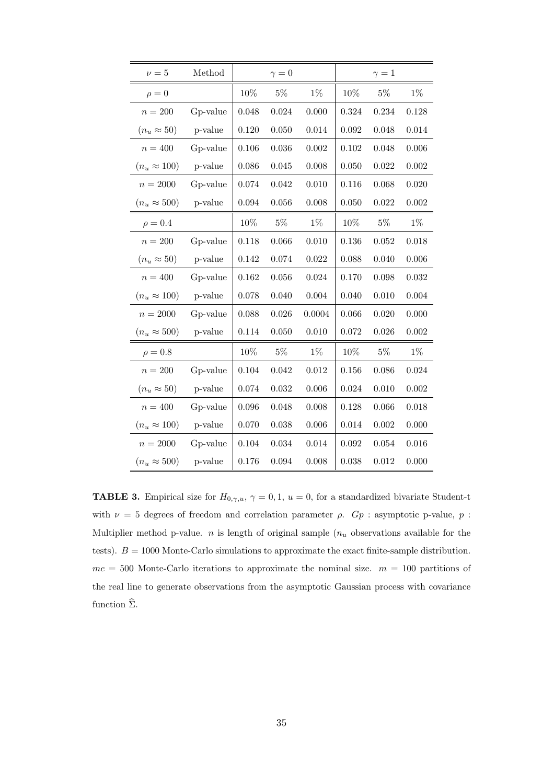| $\nu = 5$           | Method   |       | $\gamma = 0$ |        |        | $\gamma=1$ |       |
|---------------------|----------|-------|--------------|--------|--------|------------|-------|
| $\rho = 0$          |          | 10%   | $5\%$        | $1\%$  | $10\%$ | $5\%$      | $1\%$ |
| $n=200$             | Gp-value | 0.048 | 0.024        | 0.000  | 0.324  | 0.234      | 0.128 |
| $(n_u \approx 50)$  | p-value  | 0.120 | 0.050        | 0.014  | 0.092  | 0.048      | 0.014 |
| $n = 400$           | Gp-value | 0.106 | 0.036        | 0.002  | 0.102  | 0.048      | 0.006 |
| $(n_u \approx 100)$ | p-value  | 0.086 | 0.045        | 0.008  | 0.050  | 0.022      | 0.002 |
| $n = 2000$          | Gp-value | 0.074 | 0.042        | 0.010  | 0.116  | 0.068      | 0.020 |
| $(n_u \approx 500)$ | p-value  | 0.094 | 0.056        | 0.008  | 0.050  | 0.022      | 0.002 |
| $\rho = 0.4$        |          | 10%   | $5\%$        | $1\%$  | 10%    | $5\%$      | $1\%$ |
| $n=200\,$           | Gp-value | 0.118 | 0.066        | 0.010  | 0.136  | 0.052      | 0.018 |
| $(n_u \approx 50)$  | p-value  | 0.142 | 0.074        | 0.022  | 0.088  | 0.040      | 0.006 |
| $n = 400$           | Gp-value | 0.162 | 0.056        | 0.024  | 0.170  | 0.098      | 0.032 |
| $(n_u \approx 100)$ | p-value  | 0.078 | 0.040        | 0.004  | 0.040  | 0.010      | 0.004 |
| $n=2000$            | Gp-value | 0.088 | 0.026        | 0.0004 | 0.066  | 0.020      | 0.000 |
| $(n_u \approx 500)$ | p-value  | 0.114 | 0.050        | 0.010  | 0.072  | 0.026      | 0.002 |
| $\rho = 0.8$        |          | 10%   | $5\%$        | $1\%$  | 10%    | $5\%$      | $1\%$ |
| $n=200$             | Gp-value | 0.104 | 0.042        | 0.012  | 0.156  | 0.086      | 0.024 |
| $(n_u \approx 50)$  | p-value  | 0.074 | 0.032        | 0.006  | 0.024  | 0.010      | 0.002 |
| $n=400$             | Gp-value | 0.096 | 0.048        | 0.008  | 0.128  | 0.066      | 0.018 |
| $(n_u \approx 100)$ | p-value  | 0.070 | 0.038        | 0.006  | 0.014  | 0.002      | 0.000 |
| $n=2000\,$          | Gp-value | 0.104 | 0.034        | 0.014  | 0.092  | 0.054      | 0.016 |
| $(n_u \approx 500)$ | p-value  | 0.176 | 0.094        | 0.008  | 0.038  | 0.012      | 0.000 |

**TABLE 3.** Empirical size for  $H_{0,\gamma,u}$ ,  $\gamma = 0,1$ ,  $u = 0$ , for a standardized bivariate Student-t with  $\nu = 5$  degrees of freedom and correlation parameter  $\rho$ .  $Gp$  : asymptotic p-value,  $p$  : Multiplier method p-value.  $n$  is length of original sample  $(n<sub>u</sub>$  observations available for the tests).  $B = 1000$  Monte-Carlo simulations to approximate the exact finite-sample distribution.  $mc = 500$  Monte-Carlo iterations to approximate the nominal size.  $m = 100$  partitions of the real line to generate observations from the asymptotic Gaussian process with covariance function  $\widehat{\Sigma}$ .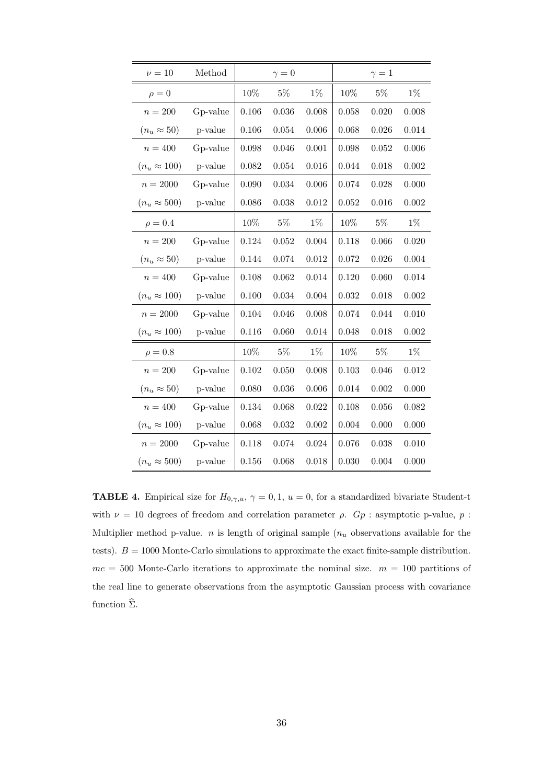| $\nu=10$            | Method   |           | $\gamma = 0$ |       |        | $\gamma=1$ |       |
|---------------------|----------|-----------|--------------|-------|--------|------------|-------|
| $\rho = 0$          |          | $10\%$    | $5\%$        | $1\%$ | $10\%$ | $5\%$      | $1\%$ |
| $n=200$             | Gp-value | 0.106     | 0.036        | 0.008 | 0.058  | 0.020      | 0.008 |
| $(n_u \approx 50)$  | p-value  | $0.106\,$ | 0.054        | 0.006 | 0.068  | 0.026      | 0.014 |
| $n = 400$           | Gp-value | 0.098     | 0.046        | 0.001 | 0.098  | 0.052      | 0.006 |
| $(n_u \approx 100)$ | p-value  | 0.082     | 0.054        | 0.016 | 0.044  | 0.018      | 0.002 |
| $n = 2000$          | Gp-value | 0.090     | 0.034        | 0.006 | 0.074  | 0.028      | 0.000 |
| $(n_u\approx 500)$  | p-value  | 0.086     | 0.038        | 0.012 | 0.052  | 0.016      | 0.002 |
| $\rho = 0.4$        |          | 10%       | $5\%$        | $1\%$ | 10%    | $5\%$      | $1\%$ |
| $n=200$             | Gp-value | 0.124     | 0.052        | 0.004 | 0.118  | 0.066      | 0.020 |
| $(n_u \approx 50)$  | p-value  | 0.144     | 0.074        | 0.012 | 0.072  | 0.026      | 0.004 |
| $n=400\,$           | Gp-value | 0.108     | 0.062        | 0.014 | 0.120  | 0.060      | 0.014 |
| $(n_u \approx 100)$ | p-value  | 0.100     | 0.034        | 0.004 | 0.032  | 0.018      | 0.002 |
| $n=2000$            | Gp-value | 0.104     | 0.046        | 0.008 | 0.074  | 0.044      | 0.010 |
| $(n_u \approx 100)$ | p-value  | 0.116     | 0.060        | 0.014 | 0.048  | 0.018      | 0.002 |
| $\rho = 0.8$        |          | 10%       | $5\%$        | $1\%$ | 10%    | $5\%$      | $1\%$ |
| $n=200$             | Gp-value | 0.102     | 0.050        | 0.008 | 0.103  | 0.046      | 0.012 |
| $(n_u \approx 50)$  | p-value  | 0.080     | 0.036        | 0.006 | 0.014  | 0.002      | 0.000 |
| $n=400$             | Gp-value | 0.134     | 0.068        | 0.022 | 0.108  | 0.056      | 0.082 |
| $(n_u \approx 100)$ | p-value  | 0.068     | 0.032        | 0.002 | 0.004  | 0.000      | 0.000 |
| $n=2000$            | Gp-value | 0.118     | 0.074        | 0.024 | 0.076  | 0.038      | 0.010 |
| $(n_u \approx 500)$ | p-value  | 0.156     | 0.068        | 0.018 | 0.030  | 0.004      | 0.000 |

**TABLE 4.** Empirical size for  $H_{0,\gamma,u}$ ,  $\gamma = 0,1$ ,  $u = 0$ , for a standardized bivariate Student-t with  $\nu$  = 10 degrees of freedom and correlation parameter  $\rho$ .  $Gp$  : asymptotic p-value,  $p$  : Multiplier method p-value.  $n$  is length of original sample  $(n<sub>u</sub>$  observations available for the tests).  $B = 1000$  Monte-Carlo simulations to approximate the exact finite-sample distribution.  $mc = 500$  Monte-Carlo iterations to approximate the nominal size.  $m = 100$  partitions of the real line to generate observations from the asymptotic Gaussian process with covariance function  $\widehat{\Sigma}$ .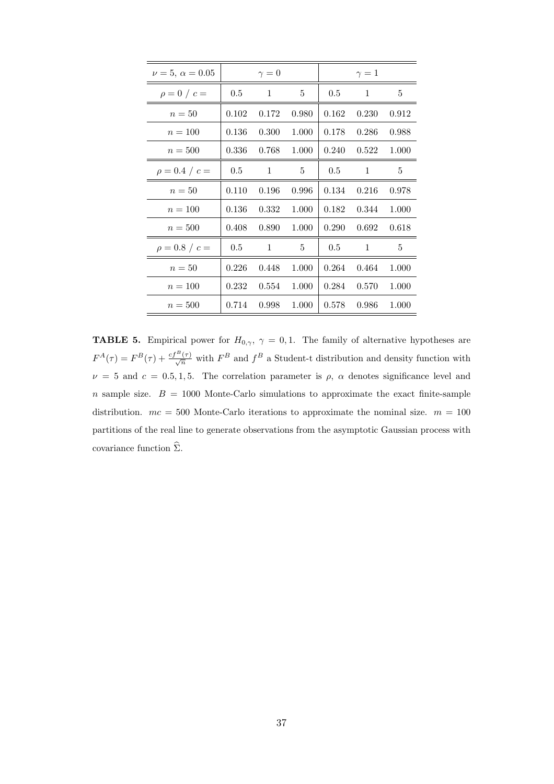| $\nu = 5, \ \alpha = 0.05$ |       | $\gamma=0$ |       |         | $\gamma=1$ |       |
|----------------------------|-------|------------|-------|---------|------------|-------|
| $\rho = 0 / c =$           | 0.5   | 1          | 5     | $0.5\,$ | 1          | 5     |
| $n=50$                     | 0.102 | 0.172      | 0.980 | 0.162   | 0.230      | 0.912 |
| $n = 100$                  | 0.136 | 0.300      | 1.000 | 0.178   | 0.286      | 0.988 |
| $n=500$                    | 0.336 | 0.768      | 1.000 | 0.240   | 0.522      | 1.000 |
| $\rho = 0.4 / c =$         | 0.5   | 1          | 5     | 0.5     | 1          | 5     |
| $n=50$                     | 0.110 | 0.196      | 0.996 | 0.134   | 0.216      | 0.978 |
| $n = 100$                  | 0.136 | 0.332      | 1.000 | 0.182   | 0.344      | 1.000 |
| $n=500$                    | 0.408 | 0.890      | 1.000 | 0.290   | 0.692      | 0.618 |
| $\rho = 0.8 / c =$         | 0.5   | 1          | 5     | 0.5     | 1          | 5     |
| $n=50$                     | 0.226 | 0.448      | 1.000 | 0.264   | 0.464      | 1.000 |
| $n = 100$                  | 0.232 | 0.554      | 1.000 | 0.284   | 0.570      | 1.000 |
| $n=500$                    | 0.714 | 0.998      | 1.000 | 0.578   | 0.986      | 1.000 |

**TABLE 5.** Empirical power for  $H_{0,\gamma}$ ,  $\gamma = 0, 1$ . The family of alternative hypotheses are  $F^{A}(\tau) = F^{B}(\tau) + \frac{cf^{B}(\tau)}{\sqrt{n}}$  with  $F^{B}$  and  $f^{B}$  a Student-t distribution and density function with  $\nu = 5$  and  $c = 0.5, 1, 5$ . The correlation parameter is  $\rho$ ,  $\alpha$  denotes significance level and  $n$  sample size.  $B = 1000$  Monte-Carlo simulations to approximate the exact finite-sample distribution.  $mc = 500$  Monte-Carlo iterations to approximate the nominal size.  $m = 100$ partitions of the real line to generate observations from the asymptotic Gaussian process with covariance function  $\hat{\Sigma}$ .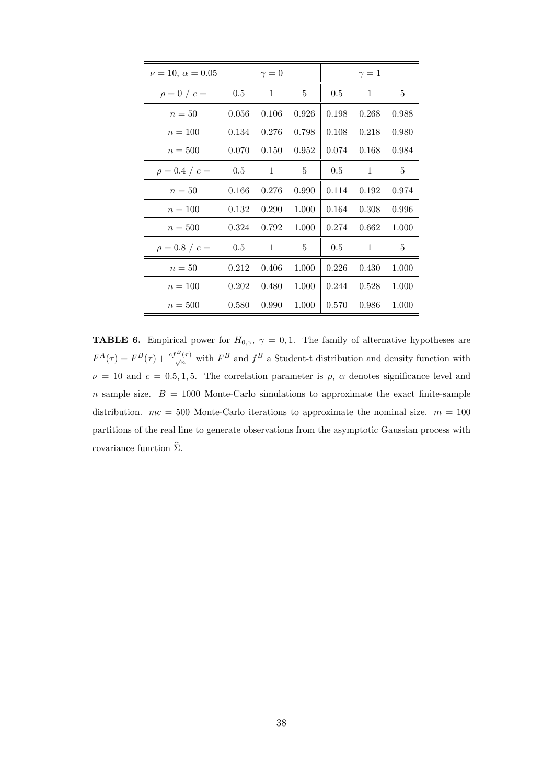| $\nu = 10, \alpha = 0.05$ |         | $\gamma = 0$ |       |       | $\gamma=1$   |       |
|---------------------------|---------|--------------|-------|-------|--------------|-------|
| $\rho = 0/c =$            | $0.5\,$ | $\mathbf{1}$ | 5     | 0.5   | 1            | 5     |
| $n=50$                    | 0.056   | 0.106        | 0.926 | 0.198 | 0.268        | 0.988 |
| $n = 100$                 | 0.134   | 0.276        | 0.798 | 0.108 | 0.218        | 0.980 |
| $n=500$                   | 0.070   | 0.150        | 0.952 | 0.074 | 0.168        | 0.984 |
| $\rho = 0.4 / c =$        | 0.5     | $\mathbf{1}$ | 5     | 0.5   | 1            | 5     |
| $n=50$                    | 0.166   | 0.276        | 0.990 | 0.114 | 0.192        | 0.974 |
| $n = 100$                 | 0.132   | 0.290        | 1.000 | 0.164 | 0.308        | 0.996 |
| $n = 500$                 | 0.324   | 0.792        | 1.000 | 0.274 | 0.662        | 1.000 |
| $\rho = 0.8 / c =$        | 0.5     | $\mathbf{1}$ | 5     | 0.5   | $\mathbf{1}$ | 5     |
| $n=50$                    | 0.212   | 0.406        | 1.000 | 0.226 | 0.430        | 1.000 |
| $n = 100$                 | 0.202   | 0.480        | 1.000 | 0.244 | 0.528        | 1.000 |
| $n=500$                   | 0.580   | 0.990        | 1.000 | 0.570 | 0.986        | 1.000 |

**TABLE 6.** Empirical power for  $H_{0,\gamma}$ ,  $\gamma = 0, 1$ . The family of alternative hypotheses are  $F^{A}(\tau) = F^{B}(\tau) + \frac{cf^{B}(\tau)}{\sqrt{n}}$  with  $F^{B}$  and  $f^{B}$  a Student-t distribution and density function with  $\nu = 10$  and  $c = 0.5, 1, 5$ . The correlation parameter is  $\rho$ ,  $\alpha$  denotes significance level and  $n$  sample size.  $B = 1000$  Monte-Carlo simulations to approximate the exact finite-sample distribution.  $mc = 500$  Monte-Carlo iterations to approximate the nominal size.  $m = 100$ partitions of the real line to generate observations from the asymptotic Gaussian process with covariance function  $\hat{\Sigma}$ .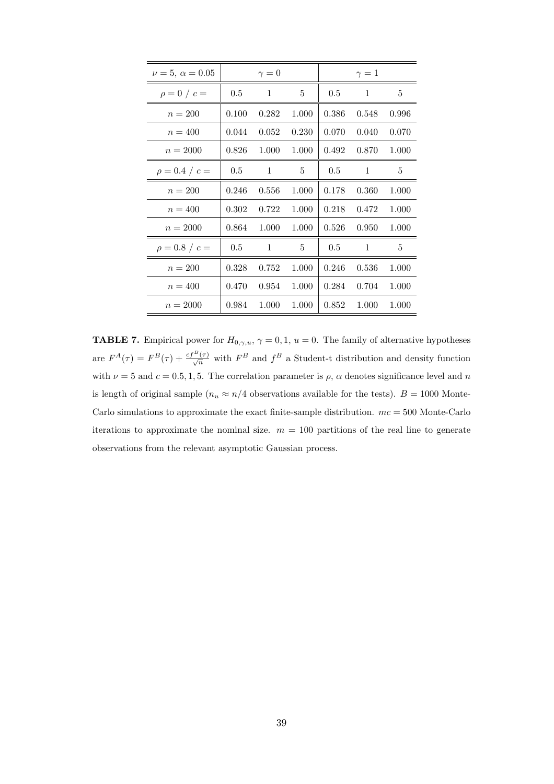| $\nu = 5, \ \alpha = 0.05$ |       | $\gamma=0$   |       |       | $\gamma=1$   |       |
|----------------------------|-------|--------------|-------|-------|--------------|-------|
| $\rho = 0 / c =$           | 0.5   | $\mathbf{1}$ | 5     | 0.5   | 1            | 5     |
| $n = 200$                  | 0.100 | 0.282        | 1.000 | 0.386 | 0.548        | 0.996 |
| $n = 400$                  | 0.044 | 0.052        | 0.230 | 0.070 | 0.040        | 0.070 |
| $n = 2000$                 | 0.826 | 1.000        | 1.000 | 0.492 | 0.870        | 1.000 |
| $\rho = 0.4 / c =$         | 0.5   | 1            | 5     | 0.5   | 1            | 5     |
| $n = 200$                  | 0.246 | 0.556        | 1.000 | 0.178 | 0.360        | 1.000 |
| $n = 400$                  | 0.302 | 0.722        | 1.000 | 0.218 | 0.472        | 1.000 |
| $n = 2000$                 | 0.864 | 1.000        | 1.000 | 0.526 | 0.950        | 1.000 |
| $\rho = 0.8 / c =$         | 0.5   | 1            | 5     | 0.5   | $\mathbf{1}$ | 5     |
| $n = 200$                  | 0.328 | 0.752        | 1.000 | 0.246 | 0.536        | 1.000 |
| $n = 400$                  | 0.470 | 0.954        | 1.000 | 0.284 | 0.704        | 1.000 |
| $n = 2000$                 | 0.984 | 1.000        | 1.000 | 0.852 | 1.000        | 1.000 |

**TABLE 7.** Empirical power for  $H_{0,\gamma,u}$ ,  $\gamma = 0,1$ ,  $u = 0$ . The family of alternative hypotheses are  $F^{A}(\tau) = F^{B}(\tau) + \frac{cf^{B}(\tau)}{\sqrt{n}}$  with  $F^{B}$  and  $f^{B}$  a Student-t distribution and density function with  $\nu = 5$  and  $c = 0.5, 1, 5$ . The correlation parameter is  $\rho$ ,  $\alpha$  denotes significance level and n is length of original sample  $(n_u \approx n/4$  observations available for the tests).  $B = 1000$  Monte-Carlo simulations to approximate the exact finite-sample distribution.  $mc = 500$  Monte-Carlo iterations to approximate the nominal size.  $m = 100$  partitions of the real line to generate observations from the relevant asymptotic Gaussian process.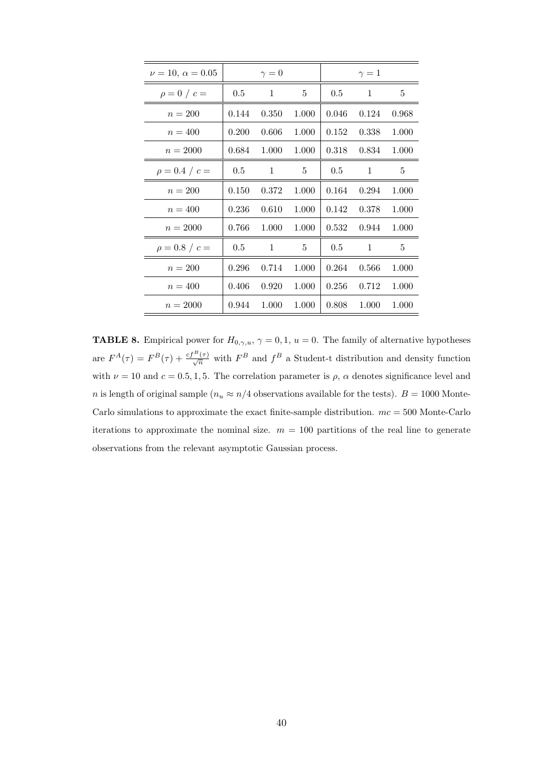| $\nu = 10, \alpha = 0.05$ |       | $\gamma=0$ |       |       | $\gamma=1$   |       |
|---------------------------|-------|------------|-------|-------|--------------|-------|
| $\rho = 0/c =$            | 0.5   | 1          | 5     | 0.5   | 1            | 5     |
| $n = 200$                 | 0.144 | 0.350      | 1.000 | 0.046 | 0.124        | 0.968 |
| $n = 400$                 | 0.200 | 0.606      | 1.000 | 0.152 | 0.338        | 1.000 |
| $n = 2000$                | 0.684 | 1.000      | 1.000 | 0.318 | 0.834        | 1.000 |
| $\rho = 0.4 / c =$        | 0.5   | 1          | 5     | 0.5   | 1            | 5     |
| $n = 200$                 | 0.150 | 0.372      | 1.000 | 0.164 | 0.294        | 1.000 |
| $n = 400$                 | 0.236 | 0.610      | 1.000 | 0.142 | 0.378        | 1.000 |
| $n = 2000$                | 0.766 | 1.000      | 1.000 | 0.532 | 0.944        | 1.000 |
| $\rho = 0.8 / c =$        | 0.5   | 1          | 5     | 0.5   | $\mathbf{1}$ | 5     |
| $n = 200$                 | 0.296 | 0.714      | 1.000 | 0.264 | 0.566        | 1.000 |
| $n = 400$                 | 0.406 | 0.920      | 1.000 | 0.256 | 0.712        | 1.000 |
| $n = 2000$                | 0.944 | 1.000      | 1.000 | 0.808 | 1.000        | 1.000 |

**TABLE 8.** Empirical power for  $H_{0,\gamma,u}$ ,  $\gamma = 0,1$ ,  $u = 0$ . The family of alternative hypotheses are  $F^{A}(\tau) = F^{B}(\tau) + \frac{cf^{B}(\tau)}{\sqrt{n}}$  with  $F^{B}$  and  $f^{B}$  a Student-t distribution and density function with  $\nu = 10$  and  $c = 0.5, 1, 5$ . The correlation parameter is  $\rho$ ,  $\alpha$  denotes significance level and  $n$  is length of original sample  $(n_u\approx n/4$  observations available for the tests).  $B=1000$  Monte-Carlo simulations to approximate the exact finite-sample distribution.  $mc = 500$  Monte-Carlo iterations to approximate the nominal size.  $m = 100$  partitions of the real line to generate observations from the relevant asymptotic Gaussian process.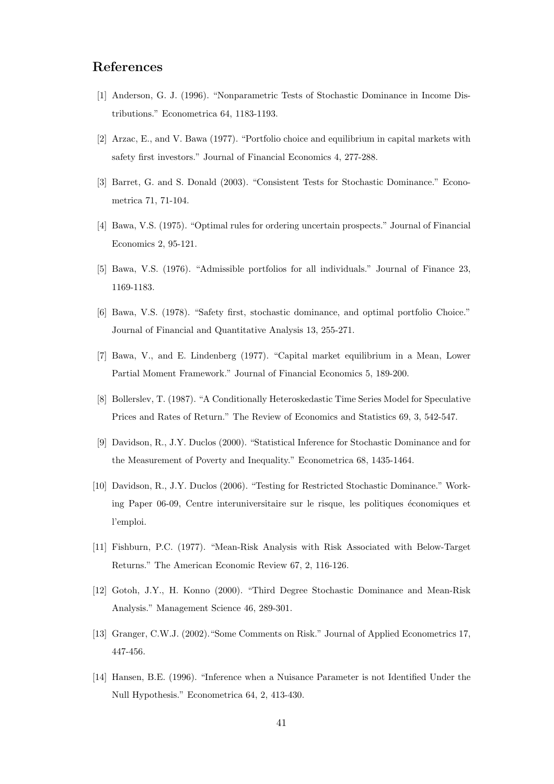## References

- [1] Anderson, G. J. (1996). "Nonparametric Tests of Stochastic Dominance in Income Distributions." Econometrica 64, 1183-1193.
- [2] Arzac, E., and V. Bawa (1977). "Portfolio choice and equilibrium in capital markets with safety first investors." Journal of Financial Economics 4, 277-288.
- [3] Barret, G. and S. Donald (2003). "Consistent Tests for Stochastic Dominance." Econometrica 71, 71-104.
- [4] Bawa, V.S. (1975). "Optimal rules for ordering uncertain prospects." Journal of Financial Economics 2, 95-121.
- [5] Bawa, V.S. (1976). "Admissible portfolios for all individuals." Journal of Finance 23, 1169-1183.
- [6] Bawa, V.S. (1978). "Safety first, stochastic dominance, and optimal portfolio Choice." Journal of Financial and Quantitative Analysis 13, 255-271.
- [7] Bawa, V., and E. Lindenberg (1977). "Capital market equilibrium in a Mean, Lower Partial Moment Framework." Journal of Financial Economics 5, 189-200.
- [8] Bollerslev, T. (1987). "A Conditionally Heteroskedastic Time Series Model for Speculative Prices and Rates of Return." The Review of Economics and Statistics 69, 3, 542-547.
- [9] Davidson, R., J.Y. Duclos (2000). "Statistical Inference for Stochastic Dominance and for the Measurement of Poverty and Inequality." Econometrica 68, 1435-1464.
- [10] Davidson, R., J.Y. Duclos (2006). "Testing for Restricted Stochastic Dominance." Working Paper 06-09, Centre interuniversitaire sur le risque, les politiques économiques et l'emploi.
- [11] Fishburn, P.C. (1977). "Mean-Risk Analysis with Risk Associated with Below-Target Returns." The American Economic Review 67, 2, 116-126.
- [12] Gotoh, J.Y., H. Konno (2000). "Third Degree Stochastic Dominance and Mean-Risk Analysis." Management Science 46, 289-301.
- [13] Granger, C.W.J. (2002)."Some Comments on Risk." Journal of Applied Econometrics 17, 447-456.
- [14] Hansen, B.E. (1996). "Inference when a Nuisance Parameter is not Identified Under the Null Hypothesis." Econometrica 64, 2, 413-430.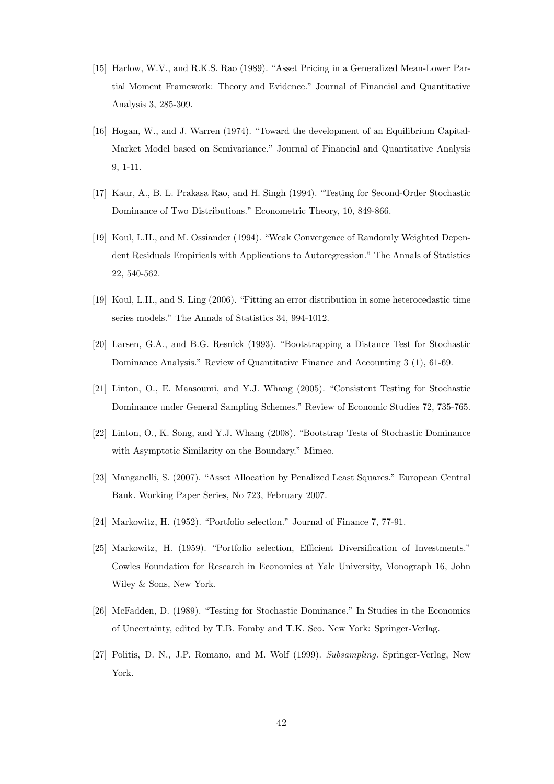- [15] Harlow, W.V., and R.K.S. Rao (1989). "Asset Pricing in a Generalized Mean-Lower Partial Moment Framework: Theory and Evidence." Journal of Financial and Quantitative Analysis 3, 285-309.
- [16] Hogan, W., and J. Warren (1974). "Toward the development of an Equilibrium Capital-Market Model based on Semivariance." Journal of Financial and Quantitative Analysis 9, 1-11.
- [17] Kaur, A., B. L. Prakasa Rao, and H. Singh (1994). "Testing for Second-Order Stochastic Dominance of Two Distributions." Econometric Theory, 10, 849-866.
- [19] Koul, L.H., and M. Ossiander (1994). "Weak Convergence of Randomly Weighted Dependent Residuals Empiricals with Applications to Autoregression." The Annals of Statistics 22, 540-562.
- [19] Koul, L.H., and S. Ling (2006). "Fitting an error distribution in some heterocedastic time series models." The Annals of Statistics 34, 994-1012.
- [20] Larsen, G.A., and B.G. Resnick (1993). "Bootstrapping a Distance Test for Stochastic Dominance Analysis." Review of Quantitative Finance and Accounting 3 (1), 61-69.
- [21] Linton, O., E. Maasoumi, and Y.J. Whang (2005). "Consistent Testing for Stochastic Dominance under General Sampling Schemes." Review of Economic Studies 72, 735-765.
- [22] Linton, O., K. Song, and Y.J. Whang (2008). "Bootstrap Tests of Stochastic Dominance with Asymptotic Similarity on the Boundary." Mimeo.
- [23] Manganelli, S. (2007). "Asset Allocation by Penalized Least Squares." European Central Bank. Working Paper Series, No 723, February 2007.
- [24] Markowitz, H. (1952). "Portfolio selection." Journal of Finance 7, 77-91.
- [25] Markowitz, H. (1959). "Portfolio selection, Efficient Diversification of Investments." Cowles Foundation for Research in Economics at Yale University, Monograph 16, John Wiley & Sons, New York.
- [26] McFadden, D. (1989). "Testing for Stochastic Dominance." In Studies in the Economics of Uncertainty, edited by T.B. Fomby and T.K. Seo. New York: Springer-Verlag.
- [27] Politis, D. N., J.P. Romano, and M. Wolf (1999). Subsampling. Springer-Verlag, New York.